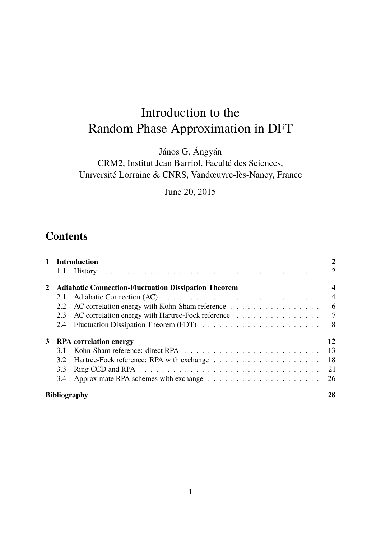# Introduction to the Random Phase Approximation in DFT

János G. Ángyán

CRM2, Institut Jean Barriol, Faculté des Sciences, Université Lorraine & CNRS, Vandœuvre-lès-Nancy, France

June 20, 2015

# **Contents**

|   |                                                             | <b>Introduction</b>                                                                  | 2              |
|---|-------------------------------------------------------------|--------------------------------------------------------------------------------------|----------------|
|   | <b>Adiabatic Connection-Fluctuation Dissipation Theorem</b> |                                                                                      |                |
|   | 2.1                                                         |                                                                                      | $\overline{4}$ |
|   | 2.2                                                         | AC correlation energy with Kohn-Sham reference $\dots \dots \dots \dots \dots \dots$ | - 6            |
|   | 2.3                                                         | AC correlation energy with Hartree-Fock reference 7                                  |                |
|   | 2.4                                                         |                                                                                      | 8              |
| 3 | <b>RPA</b> correlation energy                               |                                                                                      |                |
|   | 3.1                                                         |                                                                                      | 13             |
|   | 3.2                                                         |                                                                                      | <sup>18</sup>  |
|   | 3.3                                                         |                                                                                      | 21             |
|   | 3.4                                                         | Approximate RPA schemes with exchange $\dots \dots \dots \dots \dots \dots \dots$    | 26             |
|   | <b>Bibliography</b>                                         |                                                                                      |                |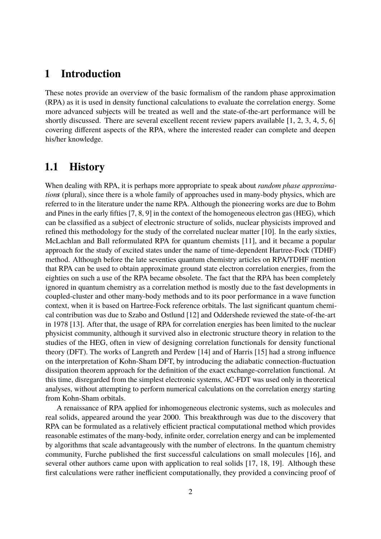### **1 Introduction**

These notes provide an overview of the basic formalism of the random phase approximation (RPA) as it is used in density functional calculations to evaluate the correlation energy. Some more advanced subjects will be treated as well and the state-of-the-art performance will be shortly discussed. There are several excellent recent review papers available [1, 2, 3, 4, 5, 6] covering different aspects of the RPA, where the interested reader can complete and deepen his/her knowledge.

# **1.1 History**

When dealing with RPA, it is perhaps more appropriate to speak about *random phase approximations* (plural), since there is a whole family of approaches used in many-body physics, which are referred to in the literature under the name RPA. Although the pioneering works are due to Bohm and Pines in the early fifties [7, 8, 9] in the context of the homogeneous electron gas (HEG), which can be classified as a subject of electronic structure of solids, nuclear physicists improved and refined this methodology for the study of the correlated nuclear matter [10]. In the early sixties, McLachlan and Ball reformulated RPA for quantum chemists [11], and it became a popular approach for the study of excited states under the name of time-dependent Hartree-Fock (TDHF) method. Although before the late seventies quantum chemistry articles on RPA/TDHF mention that RPA can be used to obtain approximate ground state electron correlation energies, from the eighties on such a use of the RPA became obsolete. The fact that the RPA has been completely ignored in quantum chemistry as a correlation method is mostly due to the fast developments in coupled-cluster and other many-body methods and to its poor performance in a wave function context, when it is based on Hartree-Fock reference orbitals. The last significant quantum chemical contribution was due to Szabo and Ostlund [12] and Oddershede reviewed the state-of-the-art in 1978 [13]. After that, the usage of RPA for correlation energies has been limited to the nuclear physicist community, although it survived also in electronic structure theory in relation to the studies of the HEG, often in view of designing correlation functionals for density functional theory (DFT). The works of Langreth and Perdew [14] and of Harris [15] had a strong influence on the interpretation of Kohn-Sham DFT, by introducing the adiabatic connection-fluctuation dissipation theorem approach for the definition of the exact exchange-correlation functional. At this time, disregarded from the simplest electronic systems, AC-FDT was used only in theoretical analyses, without attempting to perform numerical calculations on the correlation energy starting from Kohn-Sham orbitals.

A renaissance of RPA applied for inhomogeneous electronic systems, such as molecules and real solids, appeared around the year 2000. This breakthrough was due to the discovery that RPA can be formulated as a relatively efficient practical computational method which provides reasonable estimates of the many-body, infinite order, correlation energy and can be implemented by algorithms that scale advantageously with the number of electrons. In the quantum chemistry community, Furche published the first successful calculations on small molecules [16], and several other authors came upon with application to real solids [17, 18, 19]. Although these first calculations were rather inefficient computationally, they provided a convincing proof of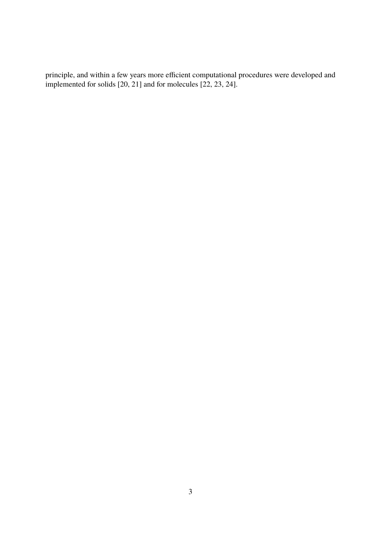principle, and within a few years more efficient computational procedures were developed and implemented for solids [20, 21] and for molecules [22, 23, 24].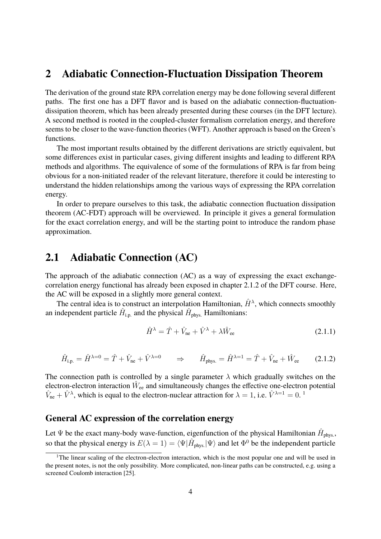### **2 Adiabatic Connection-Fluctuation Dissipation Theorem**

The derivation of the ground state RPA correlation energy may be done following several different paths. The first one has a DFT flavor and is based on the adiabatic connection-fluctuationdissipation theorem, which has been already presented during these courses (in the DFT lecture). A second method is rooted in the coupled-cluster formalism correlation energy, and therefore seems to be closer to the wave-function theories (WFT). Another approach is based on the Green's functions.

The most important results obtained by the different derivations are strictly equivalent, but some differences exist in particular cases, giving different insights and leading to different RPA methods and algorithms. The equivalence of some of the formulations of RPA is far from being obvious for a non-initiated reader of the relevant literature, therefore it could be interesting to understand the hidden relationships among the various ways of expressing the RPA correlation energy.

In order to prepare ourselves to this task, the adiabatic connection fluctuation dissipation theorem (AC-FDT) approach will be overviewed. In principle it gives a general formulation for the exact correlation energy, and will be the starting point to introduce the random phase approximation.

# **2.1 Adiabatic Connection (AC)**

The approach of the adiabatic connection (AC) as a way of expressing the exact exchangecorrelation energy functional has already been exposed in chapter 2.1.2 of the DFT course. Here, the AC will be exposed in a slightly more general context.

The central idea is to construct an interpolation Hamiltonian,  $\hat{H}^{\lambda}$ , which connects smoothly an independent particle  $\hat{H}_{\text{i.p.}}$  and the physical  $\hat{H}_{\text{phys.}}$  Hamiltonians:

$$
\hat{H}^{\lambda} = \hat{T} + \hat{V}_{\text{ne}} + \hat{V}^{\lambda} + \lambda \hat{W}_{\text{ee}}
$$
\n(2.1.1)

$$
\hat{H}_{\text{i.p.}} = \hat{H}^{\lambda=0} = \hat{T} + \hat{V}_{\text{ne}} + \hat{V}^{\lambda=0} \qquad \Rightarrow \qquad \hat{H}_{\text{phys.}} = \hat{H}^{\lambda=1} = \hat{T} + \hat{V}_{\text{ne}} + \hat{W}_{\text{ee}} \tag{2.1.2}
$$

The connection path is controlled by a single parameter  $\lambda$  which gradually switches on the electron-electron interaction  $\hat{W}_{ee}$  and simultaneously changes the effective one-electron potential  $\hat{V}_{\text{ne}} + \hat{V}^{\lambda}$ , which is equal to the electron-nuclear attraction for  $\lambda = 1$ , i.e.  $\hat{V}^{\lambda=1} = 0$ .

#### **General AC expression of the correlation energy**

Let  $\Psi$  be the exact many-body wave-function, eigenfunction of the physical Hamiltonian  $\hat{H}_{\text{phys.}},$ so that the physical energy is  $E(\lambda = 1) = \langle \Psi | \hat{H}_{\text{phys.}} | \Psi \rangle$  and let  $\Phi^0$  be the independent particle

<sup>&</sup>lt;sup>1</sup>The linear scaling of the electron-electron interaction, which is the most popular one and will be used in the present notes, is not the only possibility. More complicated, non-linear paths can be constructed, e.g. using a screened Coulomb interaction [25].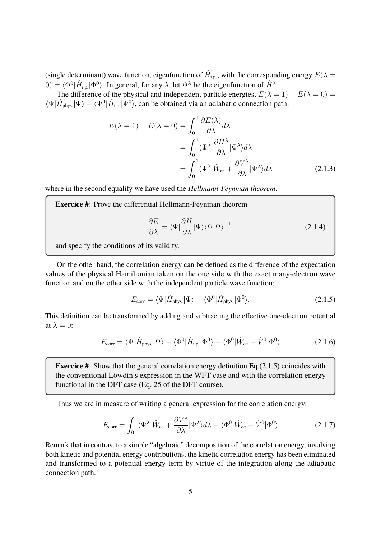(single determinant) wave function, eigenfunction of  $\hat{H}_{\text{i.p.}}$ , with the corresponding energy  $E(\lambda =$  $(0) = \langle \Phi^0 | \hat{H}_{i,p} | \Phi^0 \rangle$ . In general, for any  $\lambda$ , let  $\Psi^{\lambda}$  be the eigenfunction of  $\hat{H}^{\lambda}$ .

The difference of the physical and independent particle energies,  $E(\lambda = 1) - E(\lambda = 0) =$  $\langle \Psi | \hat{H}_{\text{phys.}} | \Psi \rangle - \langle \Psi^0 | \hat{H}_{\text{i.p.}} | \Psi^0 \rangle$ , can be obtained via an adiabatic connection path:

$$
E(\lambda = 1) - E(\lambda = 0) = \int_0^1 \frac{\partial E(\lambda)}{\partial \lambda} d\lambda
$$
  
= 
$$
\int_0^1 \langle \Psi^\lambda | \frac{\partial \hat{H}^\lambda}{\partial \lambda} | \Psi^\lambda \rangle d\lambda
$$
  
= 
$$
\int_0^1 \langle \Psi^\lambda | \hat{W}_{ee} + \frac{\partial V^\lambda}{\partial \lambda} | \Psi^\lambda \rangle d\lambda
$$
 (2.1.3)

where in the second equality we have used the *Hellmann-Feynman theorem*.

**Exercice #**: Prove the differential Hellmann-Feynman theorem

$$
\frac{\partial E}{\partial \lambda} = \langle \Psi | \frac{\partial \hat{H}}{\partial \lambda} | \Psi \rangle \langle \Psi | \Psi \rangle^{-1}.
$$
 (2.1.4)

and specify the conditions of its validity.

On the other hand, the correlation energy can be defined as the difference of the expectation values of the physical Hamiltonian taken on the one side with the exact many-electron wave function and on the other side with the independent particle wave function:

$$
E_{\text{corr}} = \langle \Psi | \hat{H}_{\text{phys.}} | \Psi \rangle - \langle \Phi^0 | \hat{H}_{\text{phys.}} | \Phi^0 \rangle. \tag{2.1.5}
$$

This definition can be transformed by adding and subtracting the effective one-electron potential at  $\lambda = 0$ :

$$
E_{\text{corr}} = \langle \Psi | \hat{H}_{\text{phys.}} | \Psi \rangle - \langle \Phi^0 | \hat{H}_{\text{ip.}} | \Phi^0 \rangle - \langle \Phi^0 | \hat{W}_{\text{ee}} - \hat{V}^0 | \Phi^0 \rangle \tag{2.1.6}
$$

**Exercice #**: Show that the general correlation energy definition Eq.(2.1.5) coincides with the conventional Löwdin's expression in the WFT case and with the correlation energy functional in the DFT case (Eq. 25 of the DFT course).

Thus we are in measure of writing a general expression for the correlation energy:

$$
E_{\text{corr}} = \int_0^1 \langle \Psi^\lambda | \hat{W}_{\text{ee}} + \frac{\partial V^\lambda}{\partial \lambda} | \Psi^\lambda \rangle d\lambda - \langle \Phi^0 | \hat{W}_{\text{ee}} - \hat{V}^0 | \Phi^0 \rangle \tag{2.1.7}
$$

Remark that in contrast to a simple "algebraic" decomposition of the correlation energy, involving both kinetic and potential energy contributions, the kinetic correlation energy has been eliminated and transformed to a potential energy term by virtue of the integration along the adiabatic connection path.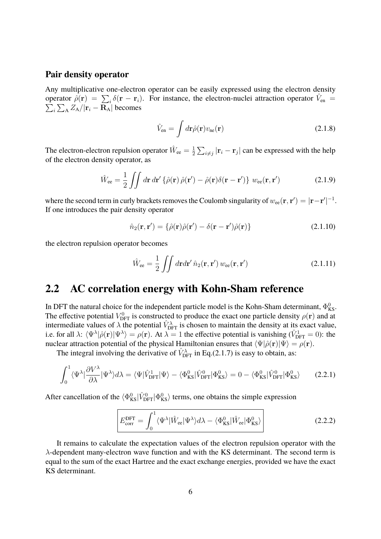#### **Pair density operator**

Any multiplicative one-electron operator can be easily expressed using the electron density operator  $\hat{\rho}(\mathbf{r}) = \sum_i \delta(\mathbf{r} - \mathbf{r}_i)$ . For instance, the electron-nuclei attraction operator  $\hat{V}_{en} = \sum_i \sum_{\mathbf{A}} Z_{\mathbf{A}} / |\mathbf{r}_i - \mathbf{R}_{\mathbf{A}}|$  becomes  $\frac{1}{i}\sum_{\mathrm{A}}Z_{\mathrm{A}}/|\mathbf{r}_{i}-\mathbf{R}_{\mathrm{A}}|$  becomes

$$
\hat{V}_{\rm en} = \int d\mathbf{r} \hat{\rho}(\mathbf{r}) v_{\rm ne}(\mathbf{r}) \tag{2.1.8}
$$

The electron-electron repulsion operator  $\hat{W}_{ee} = \frac{1}{2}$  $\frac{1}{2}\sum_{i\neq j}|\mathbf{r}_i - \mathbf{r}_j|$  can be expressed with the help of the electron density operator, as

$$
\hat{W}_{ee} = \frac{1}{2} \iint d\mathbf{r} d\mathbf{r}' \left\{ \hat{\rho}(\mathbf{r}) \hat{\rho}(\mathbf{r}') - \hat{\rho}(\mathbf{r}) \delta(\mathbf{r} - \mathbf{r}') \right\} w_{ee}(\mathbf{r}, \mathbf{r}') \tag{2.1.9}
$$

where the second term in curly brackets removes the Coulomb singularity of  $w_{\rm ee}({\bf r},{\bf r}')=|{\bf r}-{\bf r}'|^{-1}.$ If one introduces the pair density operator

$$
\hat{n}_2(\mathbf{r}, \mathbf{r}') = {\hat{\rho}(\mathbf{r})\hat{\rho}(\mathbf{r}') - \delta(\mathbf{r} - \mathbf{r}')\hat{\rho}(\mathbf{r})}
$$
\n(2.1.10)

the electron repulsion operator becomes

$$
\hat{W}_{ee} = \frac{1}{2} \iint d\mathbf{r} d\mathbf{r}' \,\hat{n}_2(\mathbf{r}, \mathbf{r}') w_{ee}(\mathbf{r}, \mathbf{r}')
$$
\n(2.1.11)

# **2.2 AC correlation energy with Kohn-Sham reference**

In DFT the natural choice for the independent particle model is the Kohn-Sham determinant,  $\Phi_{\rm KS}^0$ . The effective potential  $V_{\text{DFT}}^0$  is constructed to produce the exact one particle density  $\rho(\mathbf{r})$  and at intermediate values of  $\lambda$  the potential  $\hat{V}_{\text{DFT}}^{\lambda}$  is chosen to maintain the density at its exact value, i.e. for all  $\lambda$ :  $\langle \Psi^{\lambda} | \hat{\rho}(\mathbf{r}) | \Psi^{\lambda} \rangle = \rho(\mathbf{r})$ . At  $\lambda = 1$  the effective potential is vanishing  $(\hat{V}_{\text{DFT}}^1 = 0)$ : the nuclear attraction potential of the physical Hamiltonian ensures that  $\langle \Psi | \hat{\rho}({\bf r}) | \Psi \rangle = \rho({\bf r}).$ 

The integral involving the derivative of  $\hat{V}_{\text{DFT}}^{\lambda}$  in Eq.(2.1.7) is easy to obtain, as:

$$
\int_0^1 \langle \Psi^\lambda | \frac{\partial V^\lambda}{\partial \lambda} | \Psi^\lambda \rangle d\lambda = \langle \Psi | \hat{V}_{\text{DFT}}^1 | \Psi \rangle - \langle \Phi_{\text{KS}}^0 | \hat{V}_{\text{DFT}}^0 | \Phi_{\text{KS}}^0 \rangle = 0 - \langle \Phi_{\text{KS}}^0 | \hat{V}_{\text{DFT}}^0 | \Phi_{\text{KS}}^0 \rangle \tag{2.2.1}
$$

After cancellation of the  $\langle \Phi_{KS}^0 | \hat{V}_{\text{DFT}}^0 | \Phi_{KS}^0 \rangle$  terms, one obtains the simple expression

$$
E_{\rm corr}^{\rm DFT} = \int_0^1 \langle \Psi^\lambda | \hat{W}_{\rm ee} | \Psi^\lambda \rangle d\lambda - \langle \Phi_{\rm KS}^0 | \hat{W}_{\rm ee} | \Phi_{\rm KS}^0 \rangle
$$
 (2.2.2)

It remains to calculate the expectation values of the electron repulsion operator with the  $\lambda$ -dependent many-electron wave function and with the KS determinant. The second term is equal to the sum of the exact Hartree and the exact exchange energies, provided we have the exact KS determinant.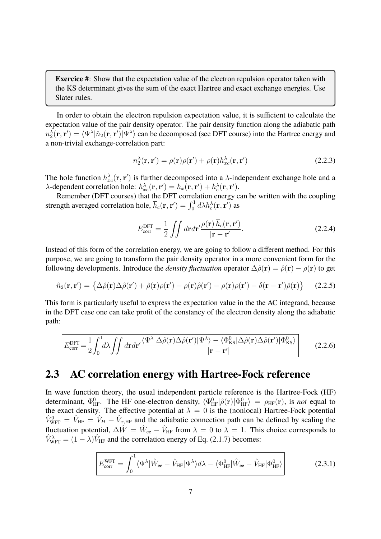**Exercice #**: Show that the expectation value of the electron repulsion operator taken with the KS determinant gives the sum of the exact Hartree and exact exchange energies. Use Slater rules.

In order to obtain the electron repulsion expectation value, it is sufficient to calculate the expectation value of the pair density operator. The pair density function along the adiabatic path  $n_2^{\lambda}(\mathbf{r}, \mathbf{r}') = \langle \Psi^{\lambda} | \hat{n}_2(\mathbf{r}, \mathbf{r}') | \Psi^{\lambda} \rangle$  can be decomposed (see DFT course) into the Hartree energy and a non-trivial exchange-correlation part:

$$
n_2^{\lambda}(\mathbf{r}, \mathbf{r}') = \rho(\mathbf{r})\rho(\mathbf{r}') + \rho(\mathbf{r})h_{xc}^{\lambda}(\mathbf{r}, \mathbf{r}') \qquad (2.2.3)
$$

The hole function  $h_{xc}^{\lambda}(\mathbf{r}, \mathbf{r}')$  is further decomposed into a  $\lambda$ -independent exchange hole and a  $\lambda$ -dependent correlation hole:  $h_{xc}^{\lambda}(\mathbf{r}, \mathbf{r}') = h_x(\mathbf{r}, \mathbf{r}') + h_c^{\lambda}(\mathbf{r}, \mathbf{r}').$ 

Remember (DFT courses) that the DFT correlation energy can be written with the coupling strength averaged correlation hole,  $\overline{h}_c(\mathbf{r}, \mathbf{r}') = \int_0^1 d\lambda h_c^{\lambda}(\mathbf{r}, \mathbf{r}')$  as

$$
E_{\text{corr}}^{\text{DFT}} = \frac{1}{2} \iint d\mathbf{r} d\mathbf{r}' \frac{\rho(\mathbf{r}) \overline{h}_c(\mathbf{r}, \mathbf{r}')}{|\mathbf{r} - \mathbf{r}'|}.
$$
 (2.2.4)

Instead of this form of the correlation energy, we are going to follow a different method. For this purpose, we are going to transform the pair density operator in a more convenient form for the following developments. Introduce the *density fluctuation* operator  $\Delta \hat{\rho}(\mathbf{r}) = \hat{\rho}(\mathbf{r}) - \rho(\mathbf{r})$  to get

$$
\hat{n}_2(\mathbf{r}, \mathbf{r}') = \left\{ \Delta \hat{\rho}(\mathbf{r}) \Delta \hat{\rho}(\mathbf{r}') + \hat{\rho}(\mathbf{r}) \rho(\mathbf{r}') + \rho(\mathbf{r}) \hat{\rho}(\mathbf{r}') - \rho(\mathbf{r}) \rho(\mathbf{r}') - \delta(\mathbf{r} - \mathbf{r}') \hat{\rho}(\mathbf{r}) \right\} \tag{2.2.5}
$$

This form is particularly useful to express the expectation value in the the AC integrand, because in the DFT case one can take profit of the constancy of the electron density along the adiabatic path:

$$
E_{\rm corr}^{\rm DFT} = \frac{1}{2} \int_0^1 d\lambda \iint dr dr' \frac{\langle \Psi^\lambda | \Delta \hat{\rho}(\mathbf{r}) \Delta \hat{\rho}(\mathbf{r}') | \Psi^\lambda \rangle - \langle \Phi_{\rm KS}^0 | \Delta \hat{\rho}(\mathbf{r}) \Delta \hat{\rho}(\mathbf{r}') | \Phi_{\rm KS}^0 \rangle}{|\mathbf{r} - \mathbf{r}'|} \qquad (2.2.6)
$$

# **2.3 AC correlation energy with Hartree-Fock reference**

In wave function theory, the usual independent particle reference is the Hartree-Fock (HF) determinant,  $\Phi_{HF}^0$ . The HF one-electron density,  $\langle \Phi_{HF}^0 | \hat{\rho}(\mathbf{r}) | \Phi_{HF}^0 \rangle = \rho_{HF}(\mathbf{r})$ , is *not* equal to the exact density. The effective potential at  $\lambda = 0$  is the (nonlocal) Hartree-Fock potential  $\hat{V}_{\text{WFT}}^0 = \hat{V}_{\text{HF}} = \hat{V}_H + \hat{V}_{x,\text{HF}}$  and the adiabatic connection path can be defined by scaling the fluctuation potential,  $\Delta \hat{W} = \hat{W}_{ee} - \hat{V}_{HF}$  from  $\lambda = 0$  to  $\lambda = 1$ . This choice corresponds to  $\hat{V}_{\text{WFT}}^{\lambda} = (1 - \lambda)\hat{V}_{\text{HF}}$  and the correlation energy of Eq. (2.1.7) becomes:

$$
E_{\rm corr}^{\rm WFT} = \int_0^1 \langle \Psi^\lambda | \hat{W}_{\rm ee} - \hat{V}_{\rm HF} | \Psi^\lambda \rangle d\lambda - \langle \Phi_{\rm HF}^0 | \hat{W}_{\rm ee} - \hat{V}_{\rm HF} | \Phi_{\rm HF}^0 \rangle \tag{2.3.1}
$$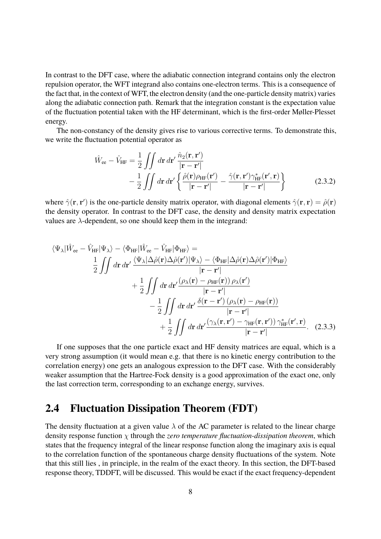In contrast to the DFT case, where the adiabatic connection integrand contains only the electron repulsion operator, the WFT integrand also contains one-electron terms. This is a consequence of the fact that, in the context of WFT, the electron density (and the one-particle density matrix) varies along the adiabatic connection path. Remark that the integration constant is the expectation value of the fluctuation potential taken with the HF determinant, which is the first-order Møller-Plesset energy.

The non-constancy of the density gives rise to various corrective terms. To demonstrate this, we write the fluctuation potential operator as

$$
\hat{W}_{ee} - \hat{V}_{HF} = \frac{1}{2} \iint d\mathbf{r} \, d\mathbf{r}' \, \frac{\hat{n}_2(\mathbf{r}, \mathbf{r}')}{|\mathbf{r} - \mathbf{r}'|} \n- \frac{1}{2} \iint d\mathbf{r} \, d\mathbf{r}' \left\{ \frac{\hat{\rho}(\mathbf{r}) \rho_{HF}(\mathbf{r}')}{|\mathbf{r} - \mathbf{r}'|} - \frac{\hat{\gamma}(\mathbf{r}, \mathbf{r}') \gamma_{HF}^*(\mathbf{r}', \mathbf{r})}{|\mathbf{r} - \mathbf{r}'|} \right\}
$$
\n(2.3.2)

where  $\hat{\gamma}(\mathbf{r}, \mathbf{r}')$  is the one-particle density matrix operator, with diagonal elements  $\hat{\gamma}(\mathbf{r}, \mathbf{r}) = \hat{\rho}(\mathbf{r})$ the density operator. In contrast to the DFT case, the density and density matrix expectation values are  $\lambda$ -dependent, so one should keep them in the integrand:

$$
\langle \Psi_{\lambda} | \hat{W}_{ee} - \hat{V}_{HF} | \Psi_{\lambda} \rangle - \langle \Phi_{HF} | \hat{W}_{ee} - \hat{V}_{HF} | \Phi_{HF} \rangle =
$$
  
\n
$$
\frac{1}{2} \iint d\mathbf{r} \, d\mathbf{r}' \frac{\langle \Psi_{\lambda} | \Delta \hat{\rho}(\mathbf{r}) \Delta \hat{\rho}(\mathbf{r}') | \Psi_{\lambda} \rangle - \langle \Phi_{HF} | \Delta \hat{\rho}(\mathbf{r}) \Delta \hat{\rho}(\mathbf{r}') | \Phi_{HF} \rangle}{|\mathbf{r} - \mathbf{r}'|}
$$
\n
$$
+ \frac{1}{2} \iint d\mathbf{r} \, d\mathbf{r}' \frac{(\rho_{\lambda}(\mathbf{r}) - \rho_{HF}(\mathbf{r})) \rho_{\lambda}(\mathbf{r}')}{|\mathbf{r} - \mathbf{r}'|}
$$
\n
$$
- \frac{1}{2} \iint d\mathbf{r} \, d\mathbf{r}' \frac{\delta(\mathbf{r} - \mathbf{r}') (\rho_{\lambda}(\mathbf{r}) - \rho_{HF}(\mathbf{r}))}{|\mathbf{r} - \mathbf{r}'|}
$$
\n
$$
+ \frac{1}{2} \iint d\mathbf{r} \, d\mathbf{r}' \frac{(\gamma_{\lambda}(\mathbf{r}, \mathbf{r}') - \gamma_{HF}(\mathbf{r}, \mathbf{r}')) \gamma_{HF}^*(\mathbf{r}', \mathbf{r})}{|\mathbf{r} - \mathbf{r}'|}. \quad (2.3.3)
$$

If one supposes that the one particle exact and HF density matrices are equal, which is a very strong assumption (it would mean e.g. that there is no kinetic energy contribution to the correlation energy) one gets an analogous expression to the DFT case. With the considerably weaker assumption that the Hartree-Fock density is a good approximation of the exact one, only the last correction term, corresponding to an exchange energy, survives.

# **2.4 Fluctuation Dissipation Theorem (FDT)**

The density fluctuation at a given value  $\lambda$  of the AC parameter is related to the linear charge density response function χ through the *zero temperature fluctuation-dissipation theorem*, which states that the frequency integral of the linear response function along the imaginary axis is equal to the correlation function of the spontaneous charge density fluctuations of the system. Note that this still lies , in principle, in the realm of the exact theory. In this section, the DFT-based response theory, TDDFT, will be discussed. This would be exact if the exact frequency-dependent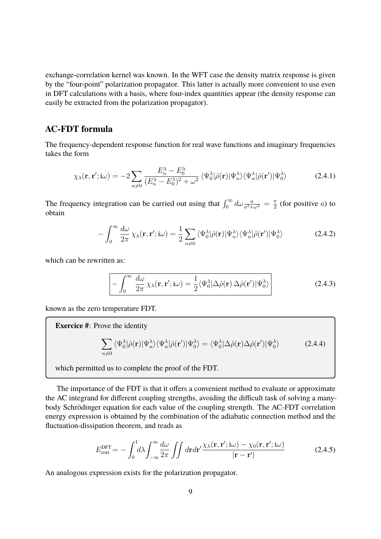exchange-correlation kernel was known. In the WFT case the density matrix response is given by the "four-point" polarization propagator. This latter is actually more convenient to use even in DFT calculations with a basis, where four-index quantities appear (the density response can easily be extracted from the polarization propagator).

#### **AC-FDT formula**

The frequency-dependent response function for real wave functions and imaginary frequencies takes the form

$$
\chi_{\lambda}(\mathbf{r}, \mathbf{r}'; i\omega) = -2 \sum_{n \neq 0} \frac{E_n^{\lambda} - E_0^{\lambda}}{(E_n^{\lambda} - E_0^{\lambda})^2 + \omega^2} \langle \Psi_0^{\lambda} | \hat{\rho}(\mathbf{r}) | \Psi_n^{\lambda} \rangle \langle \Psi_n^{\lambda} | \hat{\rho}(\mathbf{r}') | \Psi_0^{\lambda} \rangle \tag{2.4.1}
$$

The frequency integration can be carried out using that  $\int_0^\infty d\omega \frac{a}{a^2 + \omega^2} = \frac{\pi}{2}$  $\frac{\pi}{2}$  (for positive *a*) to obtain

$$
-\int_0^\infty \frac{d\omega}{2\pi} \chi_\lambda(\mathbf{r}, \mathbf{r}'; i\omega) = \frac{1}{2} \sum_{n \neq 0} \langle \Psi_0^\lambda | \hat{\rho}(\mathbf{r}) | \Psi_n^\lambda \rangle \langle \Psi_n^\lambda | \hat{\rho}(\mathbf{r}') | \Psi_0^\lambda \rangle \tag{2.4.2}
$$

which can be rewritten as:

$$
- \int_0^\infty \frac{d\omega}{2\pi} \chi_\lambda(\mathbf{r}, \mathbf{r}'; i\omega) = \frac{1}{2} \langle \Psi_0^\lambda | \Delta \hat{\rho}(\mathbf{r}) \Delta \hat{\rho}(\mathbf{r}') | \Psi_0^\lambda \rangle \tag{2.4.3}
$$

known as the zero temperature FDT.

**Exercice #**: Prove the identity

$$
\sum_{n\neq 0} \langle \Psi_0^{\lambda} | \hat{\rho}(\mathbf{r}) | \Psi_n^{\lambda} \rangle \langle \Psi_n^{\lambda} | \hat{\rho}(\mathbf{r}') | \Psi_0^{\lambda} \rangle = \langle \Psi_0^{\lambda} | \Delta \hat{\rho}(\mathbf{r}) \Delta \hat{\rho}(\mathbf{r}') | \Psi_0^{\lambda} \rangle \tag{2.4.4}
$$

which permitted us to complete the proof of the FDT.

The importance of the FDT is that it offers a convenient method to evaluate or approximate the AC integrand for different coupling strengths, avoiding the difficult task of solving a manybody Schrödinger equation for each value of the coupling strength. The AC-FDT correlation energy expression is obtained by the combination of the adiabatic connection method and the fluctuation-dissipation theorem, and reads as

$$
E_{\text{corr}}^{\text{DFT}} = -\int_0^1 d\lambda \int_{-\infty}^\infty \frac{d\omega}{2\pi} \iint d\mathbf{r} d\mathbf{r}' \frac{\chi_\lambda(\mathbf{r}, \mathbf{r}'; \mathbf{i}\omega) - \chi_0(\mathbf{r}, \mathbf{r}'; \mathbf{i}\omega)}{|\mathbf{r} - \mathbf{r}'|}
$$
(2.4.5)

An analogous expression exists for the polarization propagator.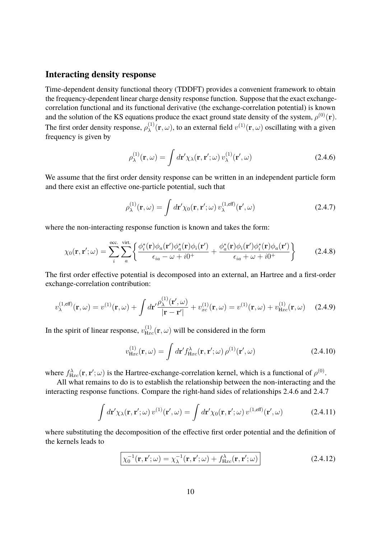#### **Interacting density response**

Time-dependent density functional theory (TDDFT) provides a convenient framework to obtain the frequency-dependent linear charge density response function. Suppose that the exact exchangecorrelation functional and its functional derivative (the exchange-correlation potential) is known and the solution of the KS equations produce the exact ground state density of the system,  $\rho^{(0)}({\bf r})$ . The first order density response,  $\rho_{\lambda}^{(1)}$  $\chi^{(1)}(\mathbf{r}, \omega)$ , to an external field  $v^{(1)}(\mathbf{r}, \omega)$  oscillating with a given frequency is given by

$$
\rho_{\lambda}^{(1)}(\mathbf{r},\omega) = \int d\mathbf{r}' \chi_{\lambda}(\mathbf{r},\mathbf{r}';\omega) v_{\lambda}^{(1)}(\mathbf{r}',\omega)
$$
\n(2.4.6)

We assume that the first order density response can be written in an independent particle form and there exist an effective one-particle potential, such that

$$
\rho_{\lambda}^{(1)}(\mathbf{r},\omega) = \int d\mathbf{r}' \chi_0(\mathbf{r},\mathbf{r}';\omega) \, v_{\lambda}^{(1,\text{eff})}(\mathbf{r}',\omega) \tag{2.4.7}
$$

where the non-interacting response function is known and takes the form:

$$
\chi_0(\mathbf{r}, \mathbf{r}'; \omega) = \sum_{i}^{\text{occ.}} \sum_{a}^{\text{virt.}} \left\{ \frac{\phi_i^*(\mathbf{r})\phi_a(\mathbf{r}')\phi_a^*(\mathbf{r})\phi_i(\mathbf{r}')}{\epsilon_{ia} - \omega + i0^+} + \frac{\phi_a^*(\mathbf{r})\phi_i(\mathbf{r}')\phi_i^*(\mathbf{r})\phi_a(\mathbf{r}')}{\epsilon_{ia} + \omega + i0^+} \right\} \tag{2.4.8}
$$

The first order effective potential is decomposed into an external, an Hartree and a first-order exchange-correlation contribution:

$$
v_{\lambda}^{(1,\text{eff})}(\mathbf{r},\omega) = v^{(1)}(\mathbf{r},\omega) + \int d\mathbf{r}' \frac{\rho_{\lambda}^{(1)}(\mathbf{r}',\omega)}{|\mathbf{r}-\mathbf{r}'|} + v_{xc}^{(1)}(\mathbf{r},\omega) = v^{(1)}(\mathbf{r},\omega) + v_{Hxc}^{(1)}(\mathbf{r},\omega) \quad (2.4.9)
$$

In the spirit of linear response,  $v_{\text{Hxc}}^{(1)}(\mathbf{r}, \omega)$  will be considered in the form

$$
v_{\text{Hxc}}^{(1)}(\mathbf{r}, \omega) = \int d\mathbf{r}' f_{\text{Hxc}}^{\lambda}(\mathbf{r}, \mathbf{r}'; \omega) \rho^{(1)}(\mathbf{r}', \omega)
$$
 (2.4.10)

where  $f_{Hxc}^{\lambda}(\mathbf{r}, \mathbf{r}'; \omega)$  is the Hartree-exchange-correlation kernel, which is a functional of  $\rho^{(0)}$ .

All what remains to do is to establish the relationship between the non-interacting and the interacting response functions. Compare the right-hand sides of relationships 2.4.6 and 2.4.7

$$
\int d\mathbf{r}' \chi_{\lambda}(\mathbf{r}, \mathbf{r}'; \omega) v^{(1)}(\mathbf{r}', \omega) = \int d\mathbf{r}' \chi_{0}(\mathbf{r}, \mathbf{r}'; \omega) v^{(1, \text{eff})}(\mathbf{r}', \omega)
$$
(2.4.11)

where substituting the decomposition of the effective first order potential and the definition of the kernels leads to

$$
\boxed{\chi_0^{-1}(\mathbf{r}, \mathbf{r}'; \omega) = \chi_\lambda^{-1}(\mathbf{r}, \mathbf{r}'; \omega) + f_{\mathrm{Hxc}}^{\lambda}(\mathbf{r}, \mathbf{r}'; \omega)}
$$
(2.4.12)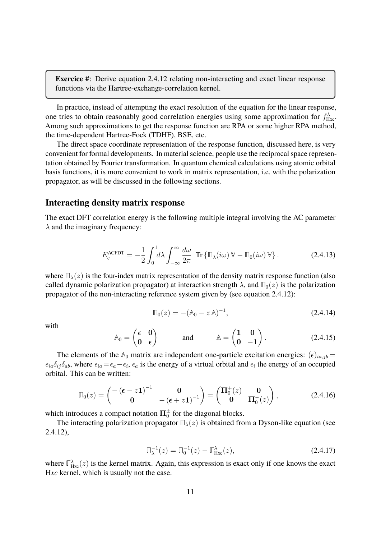**Exercice #**: Derive equation 2.4.12 relating non-interacting and exact linear response functions via the Hartree-exchange-correlation kernel.

In practice, instead of attempting the exact resolution of the equation for the linear response, one tries to obtain reasonably good correlation energies using some approximation for  $f_{\text{Hxc}}^{\lambda}$ . Among such approximations to get the response function are RPA or some higher RPA method, the time-dependent Hartree-Fock (TDHF), BSE, etc.

The direct space coordinate representation of the response function, discussed here, is very convenient for formal developments. In material science, people use the reciprocal space representation obtained by Fourier transformation. In quantum chemical calculations using atomic orbital basis functions, it is more convenient to work in matrix representation, i.e. with the polarization propagator, as will be discussed in the following sections.

#### **Interacting density matrix response**

The exact DFT correlation energy is the following multiple integral involving the AC parameter  $\lambda$  and the imaginary frequency:

$$
E_{\rm c}^{\rm ACFDT} = -\frac{1}{2} \int_0^1 d\lambda \int_{-\infty}^\infty \frac{d\omega}{2\pi} \operatorname{Tr} \left\{ \mathbb{T}_\lambda(i\omega) \, \mathbb{V} - \mathbb{T}_0(i\omega) \, \mathbb{V} \right\}. \tag{2.4.13}
$$

where  $\mathbb{D}_{\lambda}(z)$  is the four-index matrix representation of the density matrix response function (also called dynamic polarization propagator) at interaction strength  $\lambda$ , and  $\Pi_0(z)$  is the polarization propagator of the non-interacting reference system given by (see equation 2.4.12):

$$
\Pi_0(z) = -(\Lambda_0 - z\,\Delta)^{-1},\tag{2.4.14}
$$

with

$$
\mathbb{A}_0 = \begin{pmatrix} \epsilon & 0 \\ 0 & \epsilon \end{pmatrix} \quad \text{and} \quad \mathbb{A} = \begin{pmatrix} 1 & 0 \\ 0 & -1 \end{pmatrix}.
$$
 (2.4.15)

The elements of the  $\Lambda_0$  matrix are independent one-particle excitation energies:  $(\epsilon)_{ia,jb} =$  $\epsilon_{ia}\delta_{ij}\delta_{ab}$ , where  $\epsilon_{ia}=\epsilon_a-\epsilon_i$ ,  $\epsilon_a$  is the energy of a virtual orbital and  $\epsilon_i$  the energy of an occupied orbital. This can be written:

$$
\Pi_0(z) = \begin{pmatrix} -\left(\epsilon - z\mathbf{1}\right)^{-1} & \mathbf{0} \\ \mathbf{0} & -\left(\epsilon + z\mathbf{1}\right)^{-1} \end{pmatrix} = \begin{pmatrix} \mathbf{\Pi}_0^+(z) & \mathbf{0} \\ \mathbf{0} & \mathbf{\Pi}_0^-(z) \end{pmatrix},\tag{2.4.16}
$$

which introduces a compact notation  $\Pi_0^\pm$  for the diagonal blocks.

The interacting polarization propagator  $\Pi_{\lambda}(z)$  is obtained from a Dyson-like equation (see 2.4.12),

$$
\Pi_{\lambda}^{-1}(z) = \Pi_0^{-1}(z) - \mathbb{F}_{\text{Hxc}}^{\lambda}(z),
$$
\n(2.4.17)

where  $\mathbb{F}_{\text{Hxc}}^{\lambda}(z)$  is the kernel matrix. Again, this expression is exact only if one knows the exact H*xc* kernel, which is usually not the case.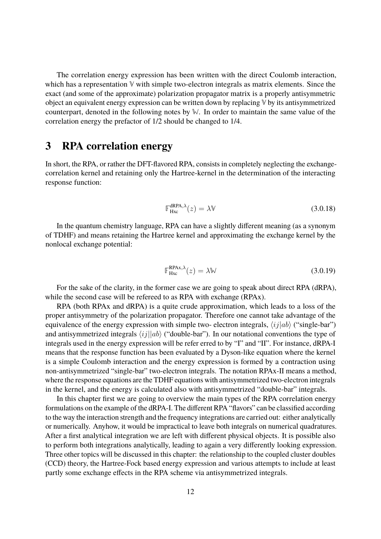The correlation energy expression has been written with the direct Coulomb interaction, which has a representation **V** with simple two-electron integrals as matrix elements. Since the exact (and some of the approximate) polarization propagator matrix is a properly antisymmetric object an equivalent energy expression can be written down by replacing **V** by its antisymmetrized counterpart, denoted in the following notes by **W**. In order to maintain the same value of the correlation energy the prefactor of 1/2 should be changed to 1/4.

### **3 RPA correlation energy**

In short, the RPA, or rather the DFT-flavored RPA, consists in completely neglecting the exchangecorrelation kernel and retaining only the Hartree-kernel in the determination of the interacting response function:

$$
\mathbb{F}_{\text{Hxc}}^{\text{dRPA},\lambda}(z) = \lambda \mathbb{V}
$$
 (3.0.18)

In the quantum chemistry language, RPA can have a slightly different meaning (as a synonym of TDHF) and means retaining the Hartree kernel and approximating the exchange kernel by the nonlocal exchange potential:

$$
\mathbb{F}_{\text{Hxc}}^{\text{RPAx},\lambda}(z) = \lambda \mathbb{W} \tag{3.0.19}
$$

For the sake of the clarity, in the former case we are going to speak about direct RPA (dRPA), while the second case will be refereed to as RPA with exchange (RPAx).

RPA (both RPAx and dRPA) is a quite crude approximation, which leads to a loss of the proper antisymmetry of the polarization propagator. Therefore one cannot take advantage of the equivalence of the energy expression with simple two- electron integrals,  $\langle ij|ab \rangle$  ("single-bar") and antisymmetrized integrals  $\langle ij||ab \rangle$  ("double-bar"). In our notational conventions the type of integrals used in the energy expression will be refer erred to by "I" and "II". For instance, dRPA-I means that the response function has been evaluated by a Dyson-like equation where the kernel is a simple Coulomb interaction and the energy expression is formed by a contraction using non-antisymmetrized "single-bar" two-electron integrals. The notation RPAx-II means a method, where the response equations are the TDHF equations with antisymmetrized two-electron integrals in the kernel, and the energy is calculated also with antisymmetrized "double-bar" integrals.

In this chapter first we are going to overview the main types of the RPA correlation energy formulations on the example of the dRPA-I. The different RPA "flavors" can be classified according to the way the interaction strength and the frequency integrations are carried out: either analytically or numerically. Anyhow, it would be impractical to leave both integrals on numerical quadratures. After a first analytical integration we are left with different physical objects. It is possible also to perform both integrations analytically, leading to again a very differently looking expression. Three other topics will be discussed in this chapter: the relationship to the coupled cluster doubles (CCD) theory, the Hartree-Fock based energy expression and various attempts to include at least partly some exchange effects in the RPA scheme via antisymmetrized integrals.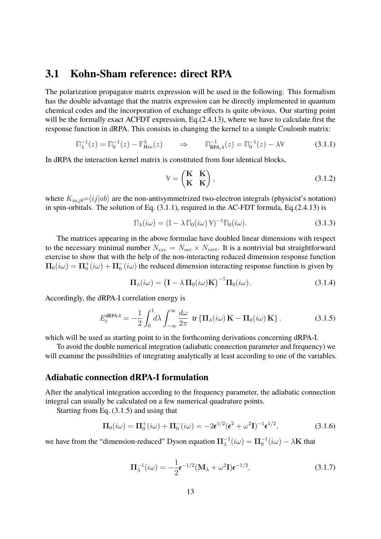### **3.1 Kohn-Sham reference: direct RPA**

The polarization propagator matrix expression will be used in the following. This formalism has the double advantage that the matrix expression can be directly implemented in quantum chemical codes and the incorporation of exchange effects is quite obvious. Our starting point will be the formally exact ACFDT expression, Eq.(2.4.13), where we have to calculate first the response function in dRPA. This consists in changing the kernel to a simple Coulomb matrix:

$$
\Pi_{\lambda}^{-1}(z) = \Pi_0^{-1}(z) - \mathbb{F}_{\text{Hxc}}^{\lambda}(z) \qquad \Rightarrow \qquad \Pi_{\text{RPA},\lambda}^{-1}(z) = \Pi_0^{-1}(z) - \lambda \mathbb{V} \tag{3.1.1}
$$

In dRPA the interaction kernel matrix is constituted from four identical blocks,

$$
\mathbb{V} = \begin{pmatrix} \mathbf{K} & \mathbf{K} \\ \mathbf{K} & \mathbf{K} \end{pmatrix},\tag{3.1.2}
$$

where  $K_{ia,jb} = \langle ij | ab \rangle$  are the non-antisymmetrized two-electron integrals (physicist's notation) in spin-orbitals. The solution of Eq. (3.1.1), required in the AC-FDT formula, Eq.(2.4.13) is

$$
\Pi_{\lambda}(i\omega) = (\mathbb{I} - \lambda \Pi_0(i\omega) \mathbb{V})^{-1} \Pi_0(i\omega).
$$
\n(3.1.3)

The matrices appearing in the above formulae have doubled linear dimensions with respect to the necessary minimal number  $N_{exc} = N_{occ} \times N_{virt}$ . It is a nontrivial but straightforward exercise to show that with the help of the non-interacting reduced dimension response function  $\Pi_0(i\omega) = \Pi_0^+(i\omega) + \Pi_0^-(i\omega)$  the reduced dimension interacting response function is given by

$$
\Pi_{\lambda}(i\omega) = \left(\mathbf{I} - \lambda \,\Pi_{0}(i\omega)\mathbf{K}\right)^{-1}\Pi_{0}(i\omega). \tag{3.1.4}
$$

Accordingly, the dRPA-I correlation energy is

$$
E_{\rm c}^{\rm dRPA-I} = -\frac{1}{2} \int_0^1 d\lambda \int_{-\infty}^\infty \frac{d\omega}{2\pi} \, \text{ tr} \left\{ \mathbf{\Pi}_{\lambda}(i\omega) \, \mathbf{K} - \mathbf{\Pi}_0(i\omega) \, \mathbf{K} \right\}. \tag{3.1.5}
$$

which will be used as starting point to in the forthcoming derivations concerning dRPA-I.

To avoid the double numerical integration (adiabatic connection parameter and frequency) we will examine the possibilities of integrating analytically at least according to one of the variables.

#### **Adiabatic connection dRPA-I formulation**

After the analytical integration according to the frequency parameter, the adiabatic connection integral can usually be calculated on a few numerical quadrature points.

Starting from Eq. (3.1.5) and using that

$$
\Pi_0(i\omega) = \Pi_0^+(i\omega) + \Pi_0^-(i\omega) = -2\epsilon^{1/2}(\epsilon^2 + \omega^2 I)^{-1}\epsilon^{1/2},\tag{3.1.6}
$$

we have from the "dimension-reduced" Dyson equation  $\Pi_{\lambda}^{-1}(i\omega) = \Pi_0^{-1}(i\omega) - \lambda \mathbf{K}$  that

$$
\Pi_{\lambda}^{-1}(i\omega) = -\frac{1}{2}\epsilon^{-1/2}(\mathbf{M}_{\lambda} + \omega^2 \mathbf{I})\epsilon^{-1/2},
$$
\n(3.1.7)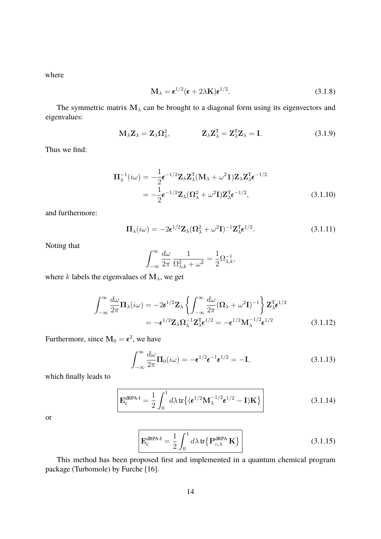where

$$
\mathbf{M}_{\lambda} = \boldsymbol{\epsilon}^{1/2} (\boldsymbol{\epsilon} + 2\lambda \mathbf{K}) \boldsymbol{\epsilon}^{1/2}.
$$
 (3.1.8)

The symmetric matrix  $M_{\lambda}$  can be brought to a diagonal form using its eigenvectors and eigenvalues:

$$
\mathbf{M}_{\lambda}\mathbf{Z}_{\lambda} = \mathbf{Z}_{\lambda}\mathbf{\Omega}_{\lambda}^{2}, \qquad \qquad \mathbf{Z}_{\lambda}\mathbf{Z}_{\lambda}^{T} = \mathbf{Z}_{\lambda}^{T}\mathbf{Z}_{\lambda} = \mathbf{I}. \tag{3.1.9}
$$

Thus we find:

$$
\Pi_{\lambda}^{-1}(i\omega) = -\frac{1}{2}\epsilon^{-1/2}\mathbf{Z}_{\lambda}\mathbf{Z}_{\lambda}^{T}(\mathbf{M}_{\lambda} + \omega^{2}\mathbf{1})\mathbf{Z}_{\lambda}\mathbf{Z}_{\lambda}^{T}\epsilon^{-1/2}
$$

$$
= -\frac{1}{2}\epsilon^{-1/2}\mathbf{Z}_{\lambda}(\Omega_{\lambda}^{2} + \omega^{2}\mathbf{I})\mathbf{Z}_{\lambda}^{T}\epsilon^{-1/2},
$$
(3.1.10)

and furthermore:

$$
\Pi_{\lambda}(i\omega) = -2\epsilon^{1/2}\mathbf{Z}_{\lambda}(\Omega_{\lambda}^{2} + \omega^{2}\mathbf{I})^{-1}\mathbf{Z}_{\lambda}^{T}\epsilon^{1/2}.
$$
 (3.1.11)

Noting that

$$
\int_{-\infty}^{\infty} \frac{d\omega}{2\pi} \, \frac{1}{\Omega_{\lambda,k}^2 + \omega^2} = \frac{1}{2} \Omega_{\lambda,k}^{-1},
$$

where k labels the eigenvalues of  $M_{\lambda}$ , we get

$$
\int_{-\infty}^{\infty} \frac{d\omega}{2\pi} \mathbf{\Pi}_{\lambda}(i\omega) = -2\epsilon^{1/2} \mathbf{Z}_{\lambda} \left\{ \int_{-\infty}^{\infty} \frac{d\omega}{2\pi} (\mathbf{\Omega}_{\lambda} + \omega^2 \mathbf{I})^{-1} \right\} \mathbf{Z}_{\lambda}^{\mathrm{T}} \epsilon^{1/2}
$$

$$
= -\epsilon^{1/2} \mathbf{Z}_{\lambda} \mathbf{\Omega}_{\lambda}^{-1} \mathbf{Z}_{\lambda}^{\mathrm{T}} \epsilon^{1/2} = -\epsilon^{1/2} \mathbf{M}_{\lambda}^{-1/2} \epsilon^{1/2}
$$
(3.1.12)

Furthermore, since  $M_0 = \epsilon^2$ , we have

$$
\int_{-\infty}^{\infty} \frac{d\omega}{2\pi} \Pi_0(i\omega) = -\epsilon^{1/2} \epsilon^{-1} \epsilon^{1/2} = -\mathbf{I},
$$
\n(3.1.13)

which finally leads to

$$
\mathbf{E}_{\rm c}^{\rm dRPA-I} = \frac{1}{2} \int_0^1 d\lambda \, \text{tr}\left\{ (\boldsymbol{\epsilon}^{1/2} \mathbf{M}_{\lambda}^{-1/2} \boldsymbol{\epsilon}^{1/2} - \mathbf{I}) \mathbf{K} \right\} \tag{3.1.14}
$$

or

$$
\mathbf{E}_{\rm c}^{\rm dRPA-I} = \frac{1}{2} \int_0^1 d\lambda \, \text{tr} \{ \mathbf{P}_{\rm c,\lambda}^{\rm dRPA} \mathbf{K} \} \tag{3.1.15}
$$

This method has been proposed first and implemented in a quantum chemical program package (Turbomole) by Furche [16].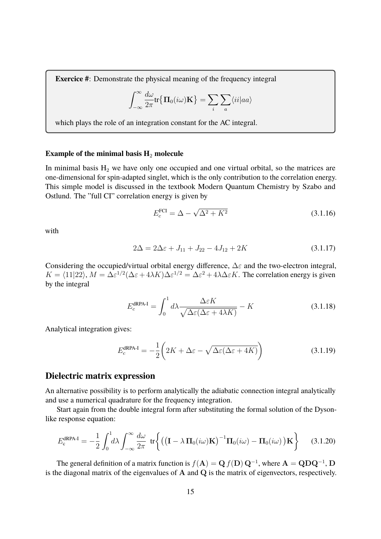**Exercice #**: Demonstrate the physical meaning of the frequency integral

$$
\int_{-\infty}^{\infty} \frac{d\omega}{2\pi} \text{tr}\{\Pi_0(i\omega)\mathbf{K}\} = \sum_i \sum_a \langle ii | aa \rangle
$$

which plays the role of an integration constant for the AC integral.

#### **Example of the minimal basis H<sub>2</sub> molecule**

In minimal basis  $H_2$  we have only one occupied and one virtual orbital, so the matrices are one-dimensional for spin-adapted singlet, which is the only contribution to the correlation energy. This simple model is discussed in the textbook Modern Quantum Chemistry by Szabo and Ostlund. The "full CI" correlation energy is given by

$$
E_c^{\text{FCI}} = \Delta - \sqrt{\Delta^2 + K^2}
$$
 (3.1.16)

with

$$
2\Delta = 2\Delta\varepsilon + J_{11} + J_{22} - 4J_{12} + 2K\tag{3.1.17}
$$

Considering the occupied/virtual orbital energy difference,  $\Delta \varepsilon$  and the two-electron integral,  $K = \langle 11|22 \rangle$ ,  $M = \Delta \varepsilon^{1/2} (\Delta \varepsilon + 4\lambda K) \Delta \varepsilon^{1/2} = \Delta \varepsilon^2 + 4\lambda \Delta \varepsilon K$ . The correlation energy is given by the integral

$$
E_c^{\text{dRPA-I}} = \int_0^1 d\lambda \frac{\Delta \varepsilon K}{\sqrt{\Delta \varepsilon (\Delta \varepsilon + 4\lambda K)}} - K \tag{3.1.18}
$$

Analytical integration gives:

$$
E_c^{\text{dRPA-I}} = -\frac{1}{2} \left( 2K + \Delta \varepsilon - \sqrt{\Delta \varepsilon (\Delta \varepsilon + 4K)} \right)
$$
 (3.1.19)

#### **Dielectric matrix expression**

An alternative possibility is to perform analytically the adiabatic connection integral analytically and use a numerical quadrature for the frequency integration.

Start again from the double integral form after substituting the formal solution of the Dysonlike response equation:

$$
E_{\rm c}^{\rm dRPA-I} = -\frac{1}{2} \int_0^1 d\lambda \int_{-\infty}^\infty \frac{d\omega}{2\pi} \, \, \text{tr}\bigg\{ \big( \big( \mathbf{I} - \lambda \, \mathbf{\Pi}_0(i\omega) \mathbf{K} \big)^{-1} \mathbf{\Pi}_0(i\omega) - \mathbf{\Pi}_0(i\omega) \, \big) \mathbf{K} \bigg\} \qquad (3.1.20)
$$

The general definition of a matrix function is  $f(A) = Q f(D) Q^{-1}$ , where  $A = QDQ^{-1}$ , D is the diagonal matrix of the eigenvalues of A and Q is the matrix of eigenvectors, respectively.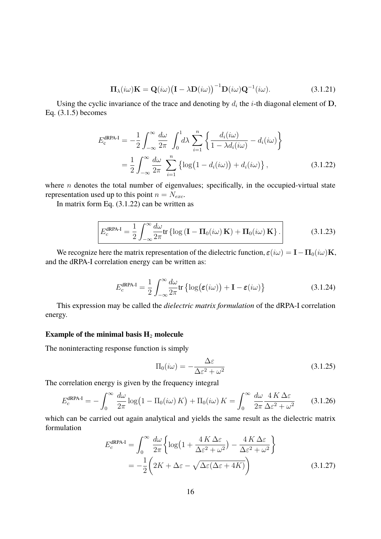$$
\Pi_{\lambda}(i\omega)\mathbf{K} = \mathbf{Q}(i\omega)\big(\mathbf{I} - \lambda \mathbf{D}(i\omega)\big)^{-1}\mathbf{D}(i\omega)\mathbf{Q}^{-1}(i\omega).
$$
 (3.1.21)

Using the cyclic invariance of the trace and denoting by  $d_i$  the *i*-th diagonal element of D, Eq. (3.1.5) becomes

$$
E_{\rm c}^{\rm dRPA-I} = -\frac{1}{2} \int_{-\infty}^{\infty} \frac{d\omega}{2\pi} \int_{0}^{1} d\lambda \sum_{i=1}^{n} \left\{ \frac{d_i(i\omega)}{1 - \lambda d_i(i\omega)} - d_i(i\omega) \right\}
$$
  
= 
$$
\frac{1}{2} \int_{-\infty}^{\infty} \frac{d\omega}{2\pi} \sum_{i=1}^{n} \left\{ \log(1 - d_i(i\omega)) + d_i(i\omega) \right\},
$$
(3.1.22)

where  $n$  denotes the total number of eigenvalues; specifically, in the occupied-virtual state representation used up to this point  $n = N_{exc}$ .

In matrix form Eq.  $(3.1.22)$  can be written as

$$
E_c^{\text{dRPA-I}} = \frac{1}{2} \int_{-\infty}^{\infty} \frac{d\omega}{2\pi} \text{tr} \left\{ \log \left( \mathbf{I} - \mathbf{\Pi}_0(i\omega) \mathbf{K} \right) + \mathbf{\Pi}_0(i\omega) \mathbf{K} \right\}.
$$
 (3.1.23)

We recognize here the matrix representation of the dielectric function,  $\varepsilon(i\omega) = I - \Pi_0(i\omega)K$ , and the dRPA-I correlation energy can be written as:

$$
E_c^{\text{dRPA-I}} = \frac{1}{2} \int_{-\infty}^{\infty} \frac{d\omega}{2\pi} \text{tr} \left\{ \log(\varepsilon(i\omega)) + \mathbf{I} - \varepsilon(i\omega) \right\} \tag{3.1.24}
$$

This expression may be called the *dielectric matrix formulation* of the dRPA-I correlation energy.

#### **Example of the minimal basis H**<sup>2</sup> **molecule**

The noninteracting response function is simply

$$
\Pi_0(i\omega) = -\frac{\Delta \varepsilon}{\Delta \varepsilon^2 + \omega^2} \tag{3.1.25}
$$

The correlation energy is given by the frequency integral

$$
E_c^{\text{dRPA-I}} = -\int_0^\infty \frac{d\omega}{2\pi} \log(1 - \Pi_0(i\omega) K) + \Pi_0(i\omega) K = \int_0^\infty \frac{d\omega}{2\pi} \frac{4K\Delta\varepsilon}{\Delta\varepsilon^2 + \omega^2}
$$
(3.1.26)

which can be carried out again analytical and yields the same result as the dielectric matrix formulation

$$
E_c^{\text{dRPA-I}} = \int_0^\infty \frac{d\omega}{2\pi} \left\{ \log \left( 1 + \frac{4K\,\Delta\varepsilon}{\Delta\varepsilon^2 + \omega^2} \right) - \frac{4K\,\Delta\varepsilon}{\Delta\varepsilon^2 + \omega^2} \right\}
$$
  
= 
$$
-\frac{1}{2} \left( 2K + \Delta\varepsilon - \sqrt{\Delta\varepsilon(\Delta\varepsilon + 4K)} \right)
$$
(3.1.27)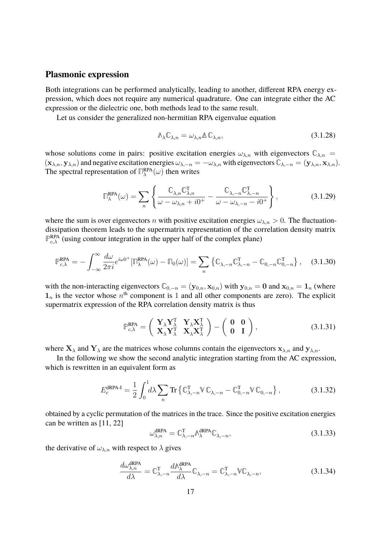#### **Plasmonic expression**

Both integrations can be performed analytically, leading to another, different RPA energy expression, which does not require any numerical quadrature. One can integrate either the AC expression or the dielectric one, both methods lead to the same result.

Let us consider the generalized non-hermitian RPA eigenvalue equation

$$
\mathbb{A}_{\lambda}\mathbb{C}_{\lambda,n} = \omega_{\lambda,n}\mathbb{A}\,\mathbb{C}_{\lambda,n},\tag{3.1.28}
$$

whose solutions come in pairs: positive excitation energies  $\omega_{\lambda,n}$  with eigenvectors  $\mathbb{C}_{\lambda,n}$  =  $(\mathbf{x}_{\lambda,n}, \mathbf{y}_{\lambda,n})$  and negative excitation energies  $\omega_{\lambda,-n} = -\omega_{\lambda,n}$  with eigenvectors  $\mathbb{C}_{\lambda,-n} = (\mathbf{y}_{\lambda,n}, \mathbf{x}_{\lambda,n}).$ The spectral representation of  $\mathbb{R}^{\text{RPA}}_{\lambda}(\omega)$  then writes

$$
\mathbb{J}_{\lambda}^{\text{RPA}}(\omega) = \sum_{n} \left\{ \frac{\mathbb{C}_{\lambda,n} \mathbb{C}_{\lambda,n}^{\text{T}}}{\omega - \omega_{\lambda,n} + i0^+} - \frac{\mathbb{C}_{\lambda,-n} \mathbb{C}_{\lambda,-n}^{\text{T}}}{\omega - \omega_{\lambda,-n} - i0^+} \right\},\tag{3.1.29}
$$

where the sum is over eigenvectors n with positive excitation energies  $\omega_{\lambda,n} > 0$ . The fluctuationdissipation theorem leads to the supermatrix representation of the correlation density matrix  $\mathbb{P}_{c,\lambda}^{\text{RPA}}$  (using contour integration in the upper half of the complex plane)

$$
\mathbb{P}_{c,\lambda}^{\text{RPA}} = -\int_{-\infty}^{\infty} \frac{d\omega}{2\pi i} e^{i\omega 0^+} [\Pi_{\lambda}^{\text{RPA}}(\omega) - \Pi_0(\omega)] = \sum_n \left\{ \mathbb{C}_{\lambda, -n} \mathbb{C}^{\text{T}}_{\lambda, -n} - \mathbb{C}_{0, -n} \mathbb{C}^{\text{T}}_{0, -n} \right\}, \quad (3.1.30)
$$

with the non-interacting eigenvectors  $\mathbb{C}_{0,-n} = (\mathbf{y}_{0,n}, \mathbf{x}_{0,n})$  with  $\mathbf{y}_{0,n} = \mathbf{0}$  and  $\mathbf{x}_{0,n} = \mathbf{1}_n$  (where  $1_n$  is the vector whose  $n^{\text{th}}$  component is 1 and all other components are zero). The explicit supermatrix expression of the RPA correlation density matrix is thus

$$
\mathbb{P}_{c,\lambda}^{\text{RPA}} = \begin{pmatrix} \mathbf{Y}_{\lambda} \mathbf{Y}_{\lambda}^{T} & \mathbf{Y}_{\lambda} \mathbf{X}_{\lambda}^{T} \\ \mathbf{X}_{\lambda} \mathbf{Y}_{\lambda}^{T} & \mathbf{X}_{\lambda} \mathbf{X}_{\lambda}^{T} \end{pmatrix} - \begin{pmatrix} \mathbf{0} & \mathbf{0} \\ \mathbf{0} & \mathbf{I} \end{pmatrix},
$$
(3.1.31)

where  $X_{\lambda}$  and  $Y_{\lambda}$  are the matrices whose columns contain the eigenvectors  $x_{\lambda,n}$  and  $y_{\lambda,n}$ .

In the following we show the second analytic integration starting from the AC expression, which is rewritten in an equivalent form as

$$
E_c^{\text{dRPA-I}} = \frac{1}{2} \int_0^1 d\lambda \sum_n \text{Tr} \left\{ \mathbb{C}^{\text{T}}_{\lambda, -n} \mathbb{V} \mathbb{C}_{\lambda, -n} - \mathbb{C}^{\text{T}}_{0, -n} \mathbb{V} \mathbb{C}_{0, -n} \right\},\tag{3.1.32}
$$

obtained by a cyclic permutation of the matrices in the trace. Since the positive excitation energies can be written as [11, 22]

$$
\omega_{\lambda,n}^{\text{dRPA}} = \mathbb{C}_{\lambda,-n}^{\text{T}} \mathbb{A}_{\lambda}^{\text{dRPA}} \mathbb{C}_{\lambda,-n},
$$
\n(3.1.33)

the derivative of  $\omega_{\lambda,n}$  with respect to  $\lambda$  gives

$$
\frac{d\omega_{\lambda,n}^{\text{dRPA}}}{d\lambda} = \mathbb{C}_{\lambda,-n}^{\text{T}} \frac{d\mathbb{A}_{\lambda}^{\text{dRPA}}}{d\lambda} \mathbb{C}_{\lambda,-n} = \mathbb{C}_{\lambda,-n}^{\text{T}} \mathbb{V} \mathbb{C}_{\lambda,-n},
$$
\n(3.1.34)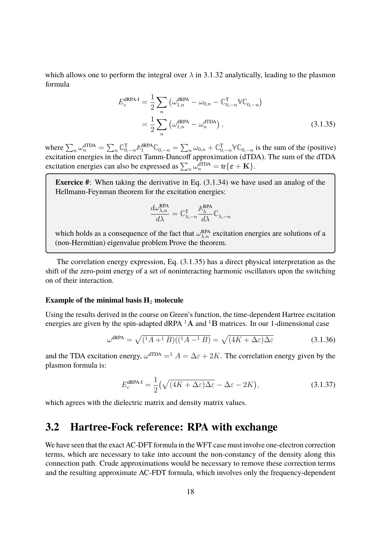which allows one to perform the integral over  $\lambda$  in 3.1.32 analytically, leading to the plasmon formula

$$
E_c^{\text{dRPA-I}} = \frac{1}{2} \sum_n \left( \omega_{1,n}^{\text{dRPA}} - \omega_{0,n} - \mathbb{C}_{0,-n}^{\text{T}} \mathbb{V} \mathbb{C}_{0,-n} \right)
$$
  
= 
$$
\frac{1}{2} \sum_n \left( \omega_{1,n}^{\text{dRPA}} - \omega_n^{\text{dTDA}} \right),
$$
 (3.1.35)

where  $\sum_{n} \omega_n^{\text{dTDA}} = \sum_{n} \mathbb{C}_{0,-n}^{\text{T}} \mathbb{A}_1^{\text{RPA}} \mathbb{C}_{0,-n} = \sum_{n} \omega_{0,n} + \mathbb{C}_{0,-n}^{\text{T}} \mathbb{V} \mathbb{C}_{0,-n}$  is the sum of the (positive) excitation energies in the direct Tamm-Dancoff approximation (dTDA). The sum of the dTDA excitation energies can also be expressed as  $\sum_n \omega_n^{\text{dTDA}} = \text{tr}\{\boldsymbol{\varepsilon} + \mathbf{K}\}.$ 

**Exercice #**: When taking the derivative in Eq. (3.1.34) we have used an analog of the Hellmann-Feynman theorem for the excitation energies:

$$
\frac{d\omega_{\lambda,n}^{\text{RPA}}}{d\lambda} = \mathbb{C}_{\lambda,-n}^{\text{T}} \frac{\mathbb{A}_{\lambda}^{\text{RPA}}}{d\lambda} \mathbb{C}_{\lambda,-n}
$$

which holds as a consequence of the fact that  $\omega_{\lambda,n}^{RPA}$  excitation energies are solutions of a (non-Hermitian) eigenvalue problem Prove the theorem.

The correlation energy expression, Eq. (3.1.35) has a direct physical interpretation as the shift of the zero-point energy of a set of noninteracting harmonic oscillators upon the switching on of their interaction.

#### **Example of the minimal basis H**<sup>2</sup> **molecule**

Using the results derived in the course on Green's function, the time-dependent Hartree excitation energies are given by the spin-adapted dRPA  ${}^{1}$ A and  ${}^{1}$ B matrices. In our 1-dimensional case

$$
\omega^{\text{dRPA}} = \sqrt{\left(\frac{1}{A} + \frac{1}{B}\right)\left(\left(\frac{1}{A} - \frac{1}{B}\right)\right)} = \sqrt{\left(4K + \Delta\varepsilon\right)\Delta\varepsilon}
$$
(3.1.36)

and the TDA excitation energy,  $\omega^{\text{dTDA}} = 1$   $A = \Delta \varepsilon + 2K$ . The correlation energy given by the plasmon formula is:

$$
E_c^{\text{dRPA-I}} = \frac{1}{2} \left( \sqrt{(4K + \Delta \varepsilon) \Delta \varepsilon} - \Delta \varepsilon - 2K \right),\tag{3.1.37}
$$

which agrees with the dielectric matrix and density matrix values.

# **3.2 Hartree-Fock reference: RPA with exchange**

We have seen that the exact AC-DFT formula in the WFT case must involve one-electron correction terms, which are necessary to take into account the non-constancy of the density along this connection path. Crude approximations would be necessary to remove these correction terms and the resulting approximate AC-FDT formula, which involves only the frequency-dependent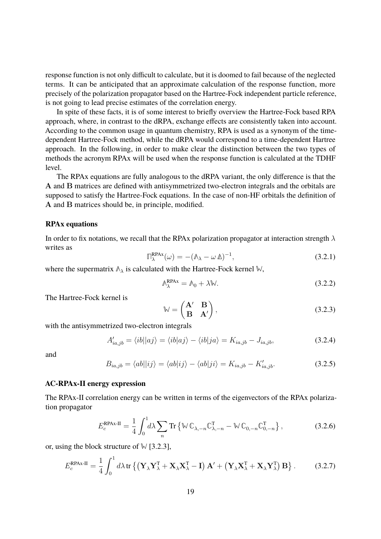response function is not only difficult to calculate, but it is doomed to fail because of the neglected terms. It can be anticipated that an approximate calculation of the response function, more precisely of the polarization propagator based on the Hartree-Fock independent particle reference, is not going to lead precise estimates of the correlation energy.

In spite of these facts, it is of some interest to briefly overview the Hartree-Fock based RPA approach, where, in contrast to the dRPA, exchange effects are consistently taken into account. According to the common usage in quantum chemistry, RPA is used as a synonym of the timedependent Hartree-Fock method, while the dRPA would correspond to a time-dependent Hartree approach. In the following, in order to make clear the distinction between the two types of methods the acronym RPAx will be used when the response function is calculated at the TDHF level.

The RPAx equations are fully analogous to the dRPA variant, the only difference is that the A and B matrices are defined with antisymmetrized two-electron integrals and the orbitals are supposed to satisfy the Hartree-Fock equations. In the case of non-HF orbitals the definition of A and B matrices should be, in principle, modified.

#### **RPAx equations**

In order to fix notations, we recall that the RPAx polarization propagator at interaction strength  $\lambda$ writes as

$$
\mathbb{T}_{\lambda}^{\text{RPAx}}(\omega) = -(\mathbb{A}_{\lambda} - \omega \,\Delta)^{-1},\tag{3.2.1}
$$

where the supermatrix **Λ**<sup>λ</sup> is calculated with the Hartree-Fock kernel **W**,

$$
\mathbb{A}_{\lambda}^{\text{RPAx}} = \mathbb{A}_0 + \lambda \mathbb{W}.\tag{3.2.2}
$$

The Hartree-Fock kernel is

$$
\mathbb{W} = \begin{pmatrix} \mathbf{A}' & \mathbf{B} \\ \mathbf{B} & \mathbf{A}' \end{pmatrix},\tag{3.2.3}
$$

with the antisymmetrized two-electron integrals

$$
A'_{ia,jb} = \langle ib||aj \rangle = \langle ib|aj \rangle - \langle ib|ja \rangle = K_{ia,jb} - J_{ia,jb}, \qquad (3.2.4)
$$

and

$$
B_{ia,jb} = \langle ab||ij\rangle = \langle ab|ij\rangle - \langle ab|ji\rangle = K_{ia,jb} - K'_{ia,jb}.
$$
\n(3.2.5)

#### **AC-RPAx-II energy expression**

The RPAx-II correlation energy can be written in terms of the eigenvectors of the RPAx polarization propagator

$$
E_c^{\text{RPAx-II}} = \frac{1}{4} \int_0^1 d\lambda \sum_n \text{Tr} \left\{ \mathbb{W} \mathbb{C}_{\lambda, -n} \mathbb{C}_{\lambda, -n}^{\text{T}} - \mathbb{W} \mathbb{C}_{0, -n} \mathbb{C}_{0, -n}^{\text{T}} \right\},\tag{3.2.6}
$$

or, using the block structure of **W** [3.2.3],

$$
E_c^{\text{RPAx-II}} = \frac{1}{4} \int_0^1 d\lambda \, \text{tr} \left\{ \left( \mathbf{Y}_{\lambda} \mathbf{Y}_{\lambda}^{\text{T}} + \mathbf{X}_{\lambda} \mathbf{X}_{\lambda}^{\text{T}} - \mathbf{I} \right) \mathbf{A}' + \left( \mathbf{Y}_{\lambda} \mathbf{X}_{\lambda}^{\text{T}} + \mathbf{X}_{\lambda} \mathbf{Y}_{\lambda}^{\text{T}} \right) \mathbf{B} \right\}. \tag{3.2.7}
$$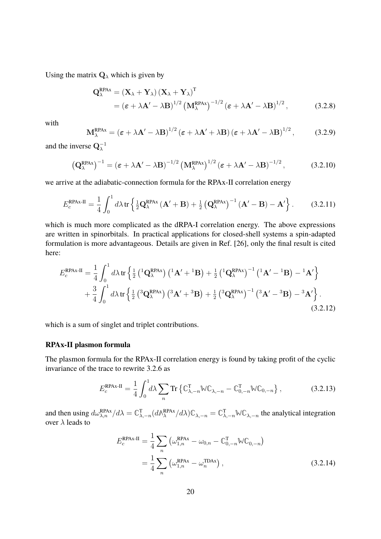Using the matrix  $\mathbf{Q}_{\lambda}$  which is given by

$$
Q_{\lambda}^{\text{RPAx}} = (\mathbf{X}_{\lambda} + \mathbf{Y}_{\lambda}) (\mathbf{X}_{\lambda} + \mathbf{Y}_{\lambda})^{\text{T}}
$$
  
=  $(\boldsymbol{\varepsilon} + \lambda \mathbf{A}' - \lambda \mathbf{B})^{1/2} (\mathbf{M}_{\lambda}^{\text{RPAx}})^{-1/2} (\boldsymbol{\varepsilon} + \lambda \mathbf{A}' - \lambda \mathbf{B})^{1/2},$  (3.2.8)

with

$$
\mathbf{M}_{\lambda}^{\text{RPAx}} = \left(\boldsymbol{\varepsilon} + \lambda \mathbf{A}' - \lambda \mathbf{B}\right)^{1/2} \left(\boldsymbol{\varepsilon} + \lambda \mathbf{A}' + \lambda \mathbf{B}\right) \left(\boldsymbol{\varepsilon} + \lambda \mathbf{A}' - \lambda \mathbf{B}\right)^{1/2},\tag{3.2.9}
$$

and the inverse  $\mathbf{Q}_{\lambda}^{-1}$ 

$$
\left(\mathbf{Q}_{\lambda}^{\text{RPAx}}\right)^{-1} = \left(\boldsymbol{\varepsilon} + \lambda \mathbf{A}' - \lambda \mathbf{B}\right)^{-1/2} \left(\mathbf{M}_{\lambda}^{\text{RPAx}}\right)^{1/2} \left(\boldsymbol{\varepsilon} + \lambda \mathbf{A}' - \lambda \mathbf{B}\right)^{-1/2},\tag{3.2.10}
$$

we arrive at the adiabatic-connection formula for the RPAx-II correlation energy

$$
E_c^{\text{RPAx-II}} = \frac{1}{4} \int_0^1 d\lambda \, \text{tr} \left\{ \frac{1}{2} \mathbf{Q}_{\lambda}^{\text{RPAx}} \left( \mathbf{A}' + \mathbf{B} \right) + \frac{1}{2} \left( \mathbf{Q}_{\lambda}^{\text{RPAx}} \right)^{-1} \left( \mathbf{A}' - \mathbf{B} \right) - \mathbf{A}' \right\}. \tag{3.2.11}
$$

which is much more complicated as the dRPA-I correlation energy. The above expressions are written in spinorbitals. In practical applications for closed-shell systems a spin-adapted formulation is more advantageous. Details are given in Ref. [26], only the final result is cited here:

$$
E_c^{\text{RPAx-II}} = \frac{1}{4} \int_0^1 d\lambda \, \text{tr} \left\{ \frac{1}{2} \left( {}^1\mathbf{Q}_{\lambda}^{\text{RPAx}} \right) \left( {}^1\mathbf{A}' + {}^1\mathbf{B} \right) + \frac{1}{2} \left( {}^1\mathbf{Q}_{\lambda}^{\text{RPAx}} \right)^{-1} \left( {}^1\mathbf{A}' - {}^1\mathbf{B} \right) - {}^1\mathbf{A}' \right\} + \frac{3}{4} \int_0^1 d\lambda \, \text{tr} \left\{ \frac{1}{2} \left( {}^3\mathbf{Q}_{\lambda}^{\text{RPAx}} \right) \left( {}^3\mathbf{A}' + {}^3\mathbf{B} \right) + \frac{1}{2} \left( {}^3\mathbf{Q}_{\lambda}^{\text{RPAx}} \right)^{-1} \left( {}^3\mathbf{A}' - {}^3\mathbf{B} \right) - {}^3\mathbf{A}' \right\}.
$$
\n(3.2.12)

which is a sum of singlet and triplet contributions.

#### **RPAx-II plasmon formula**

The plasmon formula for the RPAx-II correlation energy is found by taking profit of the cyclic invariance of the trace to rewrite 3.2.6 as

$$
E_c^{\text{RPAx-II}} = \frac{1}{4} \int_0^1 d\lambda \sum_n \text{Tr} \left\{ \mathbb{C}^{\text{T}}_{\lambda, -n} \mathbb{W} \mathbb{C}_{\lambda, -n} - \mathbb{C}^{\text{T}}_{0, -n} \mathbb{W} \mathbb{C}_{0, -n} \right\},\tag{3.2.13}
$$

and then using  $d\omega_{\lambda,n}^{\text{RPAx}}/d\lambda = \mathbb{C}_{\lambda,-n}^{T} (d\mathbb{A}_{\lambda}^{\text{RPAx}}/d\lambda)\mathbb{C}_{\lambda,-n} = \mathbb{C}_{\lambda,-n}^{T} \mathbb{W}\mathbb{C}_{\lambda,-n}$  the analytical integration over  $\lambda$  leads to

$$
E_c^{\text{RPAx-II}} = \frac{1}{4} \sum_n \left( \omega_{1,n}^{\text{RPAx}} - \omega_{0,n} - \mathbb{C}_{0,-n}^{\text{T}} \mathbb{W}\mathbb{C}_{0,-n} \right)
$$
  
= 
$$
\frac{1}{4} \sum_n \left( \omega_{1,n}^{\text{RPAx}} - \omega_n^{\text{TDAx}} \right),
$$
 (3.2.14)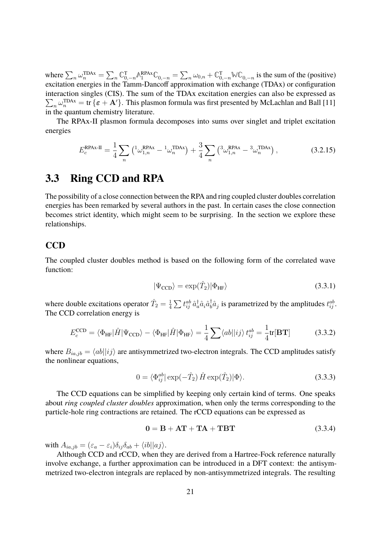where  $\sum_{n} \omega_n^{\text{TDAx}} = \sum_{n} \mathbb{C}_{0,-n}^{\text{T}} \mathbb{A}_1^{\text{RPAx}} \mathbb{C}_{0,-n} = \sum_{n} \omega_{0,n} + \mathbb{C}_{0,-n}^{\text{T}} \mathbb{W}\mathbb{C}_{0,-n}$  is the sum of the (positive) excitation energies in the Tamm-Dancoff approximation with exchange (TDAx) or configuration interaction singles (CIS). The sum of the TDAx excitation energies can also be expressed as  $\sum_n \omega_n^{\text{TDAx}} = \text{tr} \{\varepsilon + \mathbf{A}'\}.$  This plasmon formula was first presented by McLachlan and Ball [11] in the quantum chemistry literature.

The RPAx-II plasmon formula decomposes into sums over singlet and triplet excitation energies

$$
E_c^{\text{RPAx-II}} = \frac{1}{4} \sum_n \left( {}^1\omega_{1,n}^{\text{RPAx}} - {}^1\omega_n^{\text{TDAx}} \right) + \frac{3}{4} \sum_n \left( {}^3\omega_{1,n}^{\text{RPAx}} - {}^3\omega_n^{\text{TDAx}} \right), \tag{3.2.15}
$$

# **3.3 Ring CCD and RPA**

The possibility of a close connection between the RPA and ring coupled cluster doubles correlation energies has been remarked by several authors in the past. In certain cases the close connection becomes strict identity, which might seem to be surprising. In the section we explore these relationships.

#### **CCD**

The coupled cluster doubles method is based on the following form of the correlated wave function:

$$
|\Psi_{\rm CCD}\rangle = \exp(\hat{T}_2)|\Phi_{\rm HF}\rangle \tag{3.3.1}
$$

where double excitations operator  $\hat{T}_2 = \frac{1}{4}$  $\frac{1}{4}\sum t_{ij}^{ab}\, \hat{a}^{\dagger}_a \hat{a}_i \hat{a}^{\dagger}_b$  $\phi^{\dagger}_{i} \hat{a}_{j}$  is parametrized by the amplitudes  $t_{ij}^{ab}$ . The CCD correlation energy is

$$
E_c^{\text{CCD}} = \langle \Phi_{\text{HF}} | \hat{H} | \Psi_{\text{CCD}} \rangle - \langle \Phi_{\text{HF}} | \hat{H} | \Phi_{\text{HF}} \rangle = \frac{1}{4} \sum \langle ab | |ij \rangle t_{ij}^{ab} = \frac{1}{4} \text{tr}[\mathbf{B} \mathbf{T}] \tag{3.3.2}
$$

where  $B_{ia,jb} = \langle ab||ij \rangle$  are antisymmetrized two-electron integrals. The CCD amplitudes satisfy the nonlinear equations,

$$
0 = \langle \Phi_{ij}^{ab} | \exp(-\hat{T}_2) \hat{H} \exp(\hat{T}_2) | \Phi \rangle.
$$
 (3.3.3)

The CCD equations can be simplified by keeping only certain kind of terms. One speaks about *ring coupled cluster doubles* approximation, when only the terms corresponding to the particle-hole ring contractions are retained. The rCCD equations can be expressed as

$$
0 = B + AT + TA + TBT \tag{3.3.4}
$$

with  $A_{ia,jb} = (\varepsilon_a - \varepsilon_i)\delta_{ij}\delta_{ab} + \langle ib||aj\rangle.$ 

Although CCD and rCCD, when they are derived from a Hartree-Fock reference naturally involve exchange, a further approximation can be introduced in a DFT context: the antisymmetrized two-electron integrals are replaced by non-antisymmetrized integrals. The resulting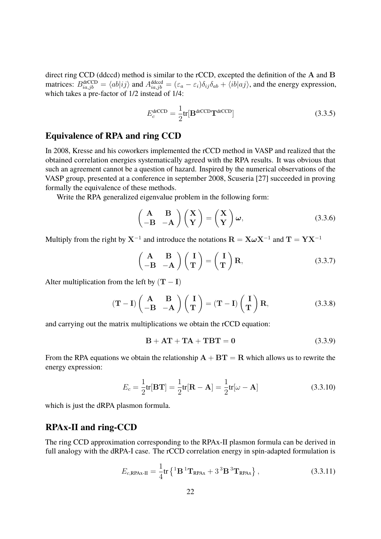direct ring CCD (ddccd) method is similar to the rCCD, excepted the definition of the A and B matrices:  $B_{ia,jb}^{drCCD} = \langle ab|ij \rangle$  and  $A_{ia,jb}^{ddccd} = (\varepsilon_a - \varepsilon_i)\delta_{ij}\delta_{ab} + \langle ib|aj \rangle$ , and the energy expression, which takes a pre-factor of  $1/2$  instead of  $1/4$ :

$$
E_c^{\text{drCCD}} = \frac{1}{2} \text{tr}[\mathbf{B}^{\text{drCCD}} \mathbf{T}^{\text{drCCD}}] \tag{3.3.5}
$$

#### **Equivalence of RPA and ring CCD**

In 2008, Kresse and his coworkers implemented the rCCD method in VASP and realized that the obtained correlation energies systematically agreed with the RPA results. It was obvious that such an agreement cannot be a question of hazard. Inspired by the numerical observations of the VASP group, presented at a conference in september 2008, Scuseria [27] succeeded in proving formally the equivalence of these methods.

Write the RPA generalized eigenvalue problem in the following form:

$$
\begin{pmatrix} \mathbf{A} & \mathbf{B} \\ -\mathbf{B} & -\mathbf{A} \end{pmatrix} \begin{pmatrix} \mathbf{X} \\ \mathbf{Y} \end{pmatrix} = \begin{pmatrix} \mathbf{X} \\ \mathbf{Y} \end{pmatrix} \boldsymbol{\omega},
$$
(3.3.6)

Multiply from the right by  $X^{-1}$  and introduce the notations  $\mathbf{R} = \mathbf{X}\boldsymbol{\omega}\mathbf{X}^{-1}$  and  $\mathbf{T} = \mathbf{Y}\mathbf{X}^{-1}$ 

$$
\begin{pmatrix} \mathbf{A} & \mathbf{B} \\ -\mathbf{B} & -\mathbf{A} \end{pmatrix} \begin{pmatrix} \mathbf{I} \\ \mathbf{T} \end{pmatrix} = \begin{pmatrix} \mathbf{I} \\ \mathbf{T} \end{pmatrix} \mathbf{R},
$$
\n(3.3.7)

Alter multiplication from the left by  $(T - I)$ 

$$
(\mathbf{T} - \mathbf{I}) \begin{pmatrix} \mathbf{A} & \mathbf{B} \\ -\mathbf{B} & -\mathbf{A} \end{pmatrix} \begin{pmatrix} \mathbf{I} \\ \mathbf{T} \end{pmatrix} = (\mathbf{T} - \mathbf{I}) \begin{pmatrix} \mathbf{I} \\ \mathbf{T} \end{pmatrix} \mathbf{R},
$$
(3.3.8)

and carrying out the matrix multiplications we obtain the rCCD equation:

$$
B + AT + TA + TBT = 0 \qquad (3.3.9)
$$

From the RPA equations we obtain the relationship  $A + BT = R$  which allows us to rewrite the energy expression:

$$
E_c = \frac{1}{2}\text{tr}[\mathbf{B}\mathbf{T}] = \frac{1}{2}\text{tr}[\mathbf{R} - \mathbf{A}] = \frac{1}{2}\text{tr}[\omega - \mathbf{A}]
$$
\n(3.3.10)

which is just the dRPA plasmon formula.

#### **RPAx-II and ring-CCD**

The ring CCD approximation corresponding to the RPAx-II plasmon formula can be derived in full analogy with the dRPA-I case. The rCCD correlation energy in spin-adapted formulation is

$$
E_{c,\text{RPAx-II}} = \frac{1}{4} \text{tr} \left\{ ^1\mathbf{B} ^1\mathbf{T}_{\text{RPAx}} + 3 ^3\mathbf{B} ^3\mathbf{T}_{\text{RPAx}} \right\},\tag{3.3.11}
$$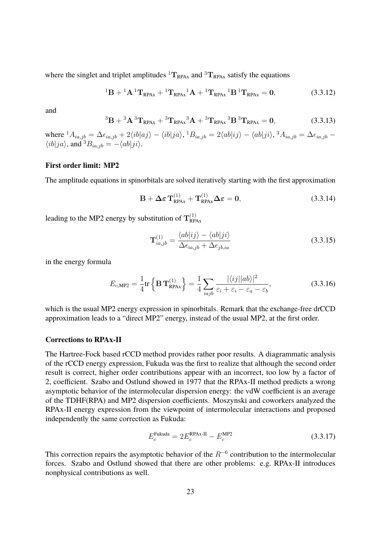where the singlet and triplet amplitudes  ${}^{1}T_{RPAx}$  and  ${}^{3}T_{RPAx}$  satisfy the equations

$$
{}^{1}B + {}^{1}A {}^{1}T_{RPAx} + {}^{1}T_{RPAx} {}^{1}A + {}^{1}T_{RPAx} {}^{1}B {}^{1}T_{RPAx} = 0, \qquad (3.3.12)
$$

and

$$
{}^{3}B + {}^{3}A \, {}^{3}T_{RPAx} + {}^{3}T_{RPAx} {}^{3}A + {}^{3}T_{RPAx} \, {}^{3}B \, {}^{3}T_{RPAx} = 0, \tag{3.3.13}
$$

where  ${}^{1}A_{ia,jb} = \Delta \epsilon_{ia,jb} + 2 \langle ib|aj \rangle - \langle ib|ja \rangle$ ,  ${}^{1}B_{ia,jb} = 2 \langle ab|ij \rangle - \langle ab|ji \rangle$ ,  ${}^{3}A_{ia,jb} = \Delta \epsilon_{ia,jb}$  $\langle ib|ja \rangle$ , and  ${}^3B_{ia,jb} = -\langle ab|ji \rangle$ .

#### **First order limit: MP2**

The amplitude equations in spinorbitals are solved iteratively starting with the first approximation

$$
\mathbf{B} + \Delta \varepsilon \mathbf{T}_{\text{RPAx}}^{(1)} + \mathbf{T}_{\text{RPAx}}^{(1)} \Delta \varepsilon = \mathbf{0},\tag{3.3.14}
$$

leading to the MP2 energy by substitution of  $\mathrm{T}_{\text{RP}}^{(1)}$ RPAx

$$
\mathbf{T}_{ia,jb}^{(1)} = \frac{\langle ab|ij\rangle - \langle ab|ji\rangle}{\Delta\epsilon_{ia,jb} + \Delta\epsilon_{jb,ia}}
$$
(3.3.15)

in the energy formula

$$
E_{c,\text{MP2}} = \frac{1}{4} \text{tr} \left\{ \mathbf{B} \mathbf{T}_{\text{RPAx}}^{(1)} \right\} = \frac{1}{4} \sum_{iajb} \frac{|\langle ij||ab\rangle|^2}{\varepsilon_i + \varepsilon_i - \varepsilon_a - \varepsilon_b},
$$
(3.3.16)

which is the usual MP2 energy expression in spinorbitals. Remark that the exchange-free drCCD approximation leads to a "direct MP2" energy, instead of the usual MP2, at the first order.

#### **Corrections to RPAx-II**

The Hartree-Fock based rCCD method provides rather poor results. A diagrammatic analysis of the rCCD energy expression, Fukuda was the first to realize that although the second order result is correct, higher order contributions appear with an incorrect, too low by a factor of 2, coefficient. Szabo and Ostlund showed in 1977 that the RPAx-II method predicts a wrong asymptotic behavior of the intermolecular dispersion energy: the vdW coefficient is an average of the TDHF(RPA) and MP2 dispersion coefficients. Moszynski and coworkers analyzed the RPAx-II energy expression from the viewpoint of intermolecular interactions and proposed independently the same correction as Fukuda:

$$
E_c^{\text{Fukuda}} = 2E_c^{\text{RPAx-II}} - E_c^{\text{MP2}}
$$
\n(3.3.17)

This correction repairs the asymptotic behavior of the  $R^{-6}$  contribution to the intermolecular forces. Szabo and Ostlund showed that there are other problems: e.g. RPAx-II introduces nonphysical contributions as well.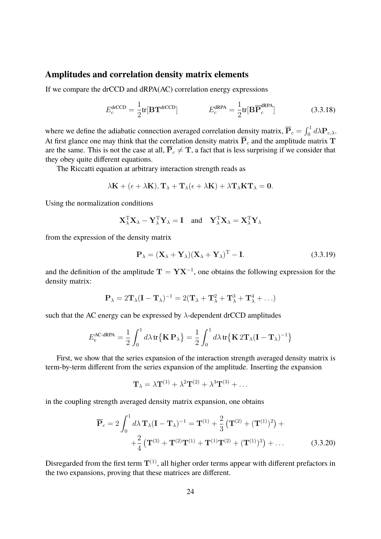#### **Amplitudes and correlation density matrix elements**

If we compare the drCCD and dRPA(AC) correlation energy expressions

$$
E_c^{\text{drCCD}} = \frac{1}{2} \text{tr}[\mathbf{B} \mathbf{T}^{\text{drCCD}}] \qquad E_c^{\text{dRPA}} = \frac{1}{2} \text{tr}[\mathbf{B} \overline{\mathbf{P}}_c^{\text{dRPA}}]
$$
(3.3.18)

where we define the adiabatic connection averaged correlation density matrix,  $\overline{P}_c = \int_0^1 d\lambda P_{c,\lambda}$ . At first glance one may think that the correlation density matrix  $\overline{P}_c$  and the amplitude matrix T are the same. This is not the case at all,  $\overline{P}_c \neq T$ , a fact that is less surprising if we consider that they obey quite different equations.

The Riccatti equation at arbitrary interaction strength reads as

$$
\lambda \mathbf{K} + (\epsilon + \lambda \mathbf{K}), \mathbf{T}_{\lambda} + \mathbf{T}_{\lambda} (\epsilon + \lambda \mathbf{K}) + \lambda \mathbf{T}_{\lambda} \mathbf{K} \mathbf{T}_{\lambda} = \mathbf{0}.
$$

Using the normalization conditions

$$
\mathbf{X}_{\lambda}^{\mathrm{T}} \mathbf{X}_{\lambda} - \mathbf{Y}_{\lambda}^{\mathrm{T}} \mathbf{Y}_{\lambda} = \mathbf{I} \text{ and } \mathbf{Y}_{\lambda}^{\mathrm{T}} \mathbf{X}_{\lambda} = \mathbf{X}_{\lambda}^{\mathrm{T}} \mathbf{Y}_{\lambda}
$$

from the expression of the density matrix

$$
\mathbf{P}_{\lambda} = (\mathbf{X}_{\lambda} + \mathbf{Y}_{\lambda})(\mathbf{X}_{\lambda} + \mathbf{Y}_{\lambda})^{\mathrm{T}} - \mathbf{I}.
$$
 (3.3.19)

and the definition of the amplitude  $T = YX^{-1}$ , one obtains the following expression for the density matrix:

$$
\mathbf{P}_{\lambda} = 2\mathbf{T}_{\lambda}(\mathbf{I} - \mathbf{T}_{\lambda})^{-1} = 2(\mathbf{T}_{\lambda} + \mathbf{T}_{\lambda}^{2} + \mathbf{T}_{\lambda}^{3} + \mathbf{T}_{\lambda}^{4} + \ldots)
$$

such that the AC energy can be expressed by  $\lambda$ -dependent drCCD amplitudes

$$
E_{\rm c}^{\rm AC\text{-}dRPA} = \frac{1}{2} \int_0^1 d\lambda \, \text{tr}\{\mathbf{K} \, \mathbf{P}_{\lambda}\} = \frac{1}{2} \int_0^1 d\lambda \, \text{tr}\{\mathbf{K} \, 2\mathbf{T}_{\lambda} (\mathbf{I} - \mathbf{T}_{\lambda})^{-1}\}
$$

First, we show that the series expansion of the interaction strength averaged density matrix is term-by-term different from the series expansion of the amplitude. Inserting the expansion

$$
\mathbf{T}_{\lambda} = \lambda \mathbf{T}^{(1)} + \lambda^2 \mathbf{T}^{(2)} + \lambda^3 \mathbf{T}^{(3)} + \dots
$$

in the coupling strength averaged density matrix expansion, one obtains

$$
\overline{\mathbf{P}}_c = 2 \int_0^1 d\lambda \, \mathbf{T}_{\lambda} (\mathbf{I} - \mathbf{T}_{\lambda})^{-1} = \mathbf{T}^{(1)} + \frac{2}{3} \left( \mathbf{T}^{(2)} + (\mathbf{T}^{(1)})^2 \right) + \n+ \frac{2}{4} \left( \mathbf{T}^{(3)} + \mathbf{T}^{(2)} \mathbf{T}^{(1)} + \mathbf{T}^{(1)} \mathbf{T}^{(2)} + (\mathbf{T}^{(1)})^3 \right) + \dots
$$
\n(3.3.20)

Disregarded from the first term  $T^{(1)}$ , all higher order terms appear with different prefactors in the two expansions, proving that these matrices are different.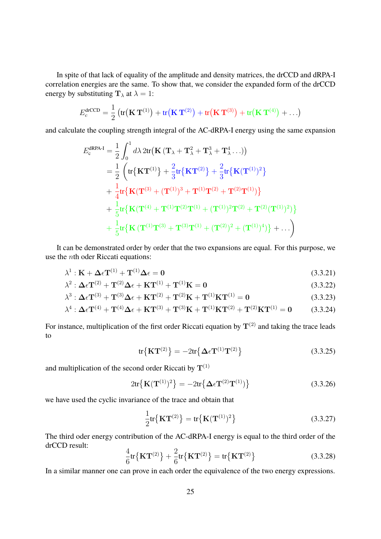In spite of that lack of equality of the amplitude and density matrices, the drCCD and dRPA-I correlation energies are the same. To show that, we consider the expanded form of the drCCD energy by substituting  $\mathbf{T}_{\lambda}$  at  $\lambda = 1$ :

$$
E_c^{\text{drCCD}} = \frac{1}{2} \left( \text{tr} \big( \mathbf{K} \, \mathbf{T}^{(1)} \big) + \text{tr} \big( \mathbf{K} \, \mathbf{T}^{(2)} \big) + \text{tr} \big( \mathbf{K} \, \mathbf{T}^{(3)} \big) + \text{tr} \big( \mathbf{K} \, \mathbf{T}^{(4)} \big) + \ldots \right)
$$

and calculate the coupling strength integral of the AC-dRPA-I energy using the same expansion

$$
E_{c}^{\text{dRPA-I}} = \frac{1}{2} \int_{0}^{1} d\lambda \, 2 \text{tr} \big( \mathbf{K} \left( \mathbf{T}_{\lambda} + \mathbf{T}_{\lambda}^{2} + \mathbf{T}_{\lambda}^{3} + \mathbf{T}_{\lambda}^{4} \dots \right) \big) = \frac{1}{2} \left( \text{tr} \{ \mathbf{K} \mathbf{T}^{(1)} \} + \frac{2}{3} \text{tr} \{ \mathbf{K} \mathbf{T}^{(2)} \} + \frac{2}{3} \text{tr} \{ \mathbf{K} (\mathbf{T}^{(1)})^{2} \} + \frac{1}{4} \text{tr} \{ \mathbf{K} (\mathbf{T}^{(3)} + (\mathbf{T}^{(1)})^{3} + \mathbf{T}^{(1)} \mathbf{T}^{(2)} + \mathbf{T}^{(2)} \mathbf{T}^{(1)}) \} + \frac{1}{5} \text{tr} \{ \mathbf{K} (\mathbf{T}^{(4)} + \mathbf{T}^{(1)} \mathbf{T}^{(2)} \mathbf{T}^{(1)} + (\mathbf{T}^{(1)})^{2} \mathbf{T}^{(2)} + \mathbf{T}^{(2)} (\mathbf{T}^{(1)})^{2} ) \} + \frac{1}{5} \text{tr} \{ \mathbf{K} (\mathbf{T}^{(1)} \mathbf{T}^{(3)} + \mathbf{T}^{(3)} \mathbf{T}^{(1)} + (\mathbf{T}^{(2)})^{2} + (\mathbf{T}^{(1)})^{4} ) \} + \dots \right)
$$

It can be demonstrated order by order that the two expansions are equal. For this purpose, we use the nth oder Riccati equations:

$$
\lambda^{1}: \mathbf{K} + \Delta \epsilon \mathbf{T}^{(1)} + \mathbf{T}^{(1)} \Delta \epsilon = \mathbf{0}
$$
\n(3.3.21)

$$
\lambda^2 : \Delta \epsilon \mathbf{T}^{(2)} + \mathbf{T}^{(2)} \Delta \epsilon + \mathbf{K} \mathbf{T}^{(1)} + \mathbf{T}^{(1)} \mathbf{K} = \mathbf{0}
$$
\n(3.3.22)

$$
\lambda^{3} : \Delta \epsilon \mathbf{T}^{(3)} + \mathbf{T}^{(3)} \Delta \epsilon + \mathbf{K} \mathbf{T}^{(2)} + \mathbf{T}^{(2)} \mathbf{K} + \mathbf{T}^{(1)} \mathbf{K} \mathbf{T}^{(1)} = \mathbf{0}
$$
\n(3.3.23)

$$
\lambda^{4} : \Delta \epsilon \mathbf{T}^{(4)} + \mathbf{T}^{(4)} \Delta \epsilon + \mathbf{K} \mathbf{T}^{(3)} + \mathbf{T}^{(3)} \mathbf{K} + \mathbf{T}^{(1)} \mathbf{K} \mathbf{T}^{(2)} + \mathbf{T}^{(2)} \mathbf{K} \mathbf{T}^{(1)} = \mathbf{0}
$$
 (3.3.24)

For instance, multiplication of the first order Riccati equation by  $T^{(2)}$  and taking the trace leads to

$$
\text{tr}\big\{\mathbf{K}\mathbf{T}^{(2)}\big\} = -2\text{tr}\big\{\Delta\epsilon\mathbf{T}^{(1)}\mathbf{T}^{(2)}\big\} \tag{3.3.25}
$$

and multiplication of the second order Riccati by  $T^{(1)}$ 

$$
2\mathrm{tr}\big\{\mathbf{K}(\mathbf{T}^{(1)})^2\big\} = -2\mathrm{tr}\big\{\Delta\epsilon\mathbf{T}^{(2)}\mathbf{T}^{(1)}\big\}\big\} \tag{3.3.26}
$$

we have used the cyclic invariance of the trace and obtain that

$$
\frac{1}{2} \text{tr} \{ \mathbf{K} \mathbf{T}^{(2)} \} = \text{tr} \{ \mathbf{K} (\mathbf{T}^{(1)})^2 \}
$$
\n(3.3.27)

The third oder energy contribution of the AC-dRPA-I energy is equal to the third order of the drCCD result:

$$
\frac{4}{6}\text{tr}\{\mathbf{K}\mathbf{T}^{(2)}\} + \frac{2}{6}\text{tr}\{\mathbf{K}\mathbf{T}^{(2)}\} = \text{tr}\{\mathbf{K}\mathbf{T}^{(2)}\}\tag{3.3.28}
$$

In a similar manner one can prove in each order the equivalence of the two energy expressions.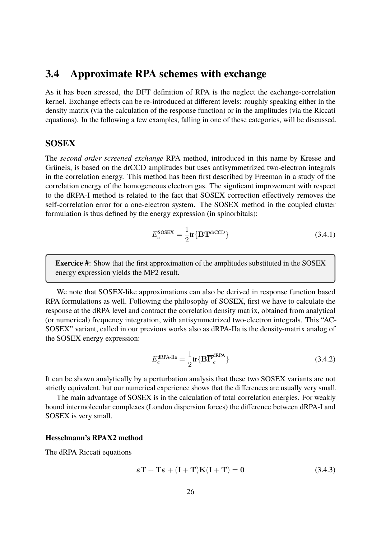### **3.4 Approximate RPA schemes with exchange**

As it has been stressed, the DFT definition of RPA is the neglect the exchange-correlation kernel. Exchange effects can be re-introduced at different levels: roughly speaking either in the density matrix (via the calculation of the response function) or in the amplitudes (via the Riccati equations). In the following a few examples, falling in one of these categories, will be discussed.

#### **SOSEX**

The *second order screened exchange* RPA method, introduced in this name by Kresse and Grüneis, is based on the drCCD amplitudes but uses antisymmetrized two-electron integrals in the correlation energy. This method has been first described by Freeman in a study of the correlation energy of the homogeneous electron gas. The signficant improvement with respect to the dRPA-I method is related to the fact that SOSEX correction effectively removes the self-correlation error for a one-electron system. The SOSEX method in the coupled cluster formulation is thus defined by the energy expression (in spinorbitals):

$$
E_c^{\text{SOSEX}} = \frac{1}{2} \text{tr} \{ \mathbf{B} \mathbf{T}^{\text{drCCD}} \}
$$
 (3.4.1)

**Exercice #**: Show that the first approximation of the amplitudes substituted in the SOSEX energy expression yields the MP2 result.

We note that SOSEX-like approximations can also be derived in response function based RPA formulations as well. Following the philosophy of SOSEX, first we have to calculate the response at the dRPA level and contract the correlation density matrix, obtained from analytical (or numerical) frequency integration, with antisymmetrized two-electron integrals. This "AC-SOSEX" variant, called in our previous works also as dRPA-IIa is the density-matrix analog of the SOSEX energy expression:

$$
E_c^{\text{dRPA-IIa}} = \frac{1}{2} \text{tr} \{ \mathbf{B} \overline{\mathbf{P}}_c^{\text{dRPA}} \}
$$
 (3.4.2)

It can be shown analytically by a perturbation analysis that these two SOSEX variants are not strictly equivalent, but our numerical experience shows that the differences are usually very small.

The main advantage of SOSEX is in the calculation of total correlation energies. For weakly bound intermolecular complexes (London dispersion forces) the difference between dRPA-I and SOSEX is very small.

#### **Hesselmann's RPAX2 method**

The dRPA Riccati equations

$$
\varepsilon \mathbf{T} + \mathbf{T}\varepsilon + (\mathbf{I} + \mathbf{T})\mathbf{K}(\mathbf{I} + \mathbf{T}) = \mathbf{0}
$$
 (3.4.3)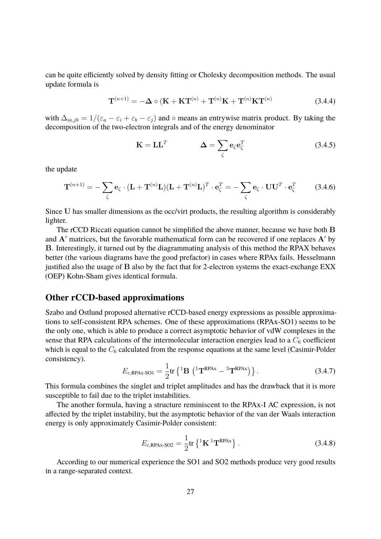can be quite efficiently solved by density fitting or Cholesky decomposition methods. The usual update formula is

$$
\mathbf{T}^{(n+1)} = -\Delta \circ (\mathbf{K} + \mathbf{K} \mathbf{T}^{(n)} + \mathbf{T}^{(n)} \mathbf{K} + \mathbf{T}^{(n)} \mathbf{K} \mathbf{T}^{(n)}
$$
(3.4.4)

with  $\Delta_{ia,jb} = 1/(\varepsilon_a - \varepsilon_i + \varepsilon_b - \varepsilon_j)$  and  $\circ$  means an entrywise matrix product. By taking the decomposition of the two-electron integrals and of the energy denominator

$$
\mathbf{K} = \mathbf{L}\mathbf{L}^T \qquad \qquad \mathbf{\Delta} = \sum_{\zeta} \mathbf{e}_{\zeta} \mathbf{e}_{\zeta}^T \qquad (3.4.5)
$$

the update

$$
\mathbf{T}^{(n+1)} = -\sum_{\zeta} \mathbf{e}_{\zeta} \cdot (\mathbf{L} + \mathbf{T}^{(n)} \mathbf{L}) (\mathbf{L} + \mathbf{T}^{(n)} \mathbf{L})^T \cdot \mathbf{e}_{\zeta}^T = -\sum_{\zeta} \mathbf{e}_{\zeta} \cdot \mathbf{U} \mathbf{U}^T \cdot \mathbf{e}_{\zeta}^T
$$
(3.4.6)

Since U has smaller dimensions as the occ/virt products, the resulting algorithm is considerably lighter.

The rCCD Riccati equation cannot be simplified the above manner, because we have both B and  $A'$  matrices, but the favorable mathematical form can be recovered if one replaces  $A'$  by B. Interestingly, it turned out by the diagrammating analysis of this method the RPAX behaves better (the various diagrams have the good prefactor) in cases where RPAx fails. Hesselmann justified also the usage of B also by the fact that for 2-electron systems the exact-exchange EXX (OEP) Kohn-Sham gives identical formula.

#### **Other rCCD-based approximations**

Szabo and Ostlund proposed alternative rCCD-based energy expressions as possible approximations to self-consistent RPA schemes. One of these approximations (RPAx-SO1) seems to be the only one, which is able to produce a correct asymptotic behavior of vdW complexes in the sense that RPA calculations of the intermolecular interaction energies lead to a  $C_6$  coefficient which is equal to the  $C_6$  calculated from the response equations at the same level (Casimir-Polder consistency).

$$
E_{c, \text{RPAx-SO1}} = \frac{1}{2} \text{tr} \left\{ ^1 \mathbf{B} \, \left( ^1 \mathbf{T}^{\text{RPAx}} - ^3 \mathbf{T}^{\text{RPAx}} \right) \right\}. \tag{3.4.7}
$$

This formula combines the singlet and triplet amplitudes and has the drawback that it is more susceptible to fail due to the triplet instabilities.

The another formula, having a structure reminiscent to the RPAx-I AC expression, is not affected by the triplet instability, but the asymptotic behavior of the van der Waals interaction energy is only approximately Casimir-Polder consistent:

$$
E_{c,\text{RPAx-SO2}} = \frac{1}{2} \text{tr} \left\{ ^1\mathbf{K} \, ^1\mathbf{T}^{\text{RPAx}} \right\}. \tag{3.4.8}
$$

According to our numerical experience the SO1 and SO2 methods produce very good results in a range-separated context.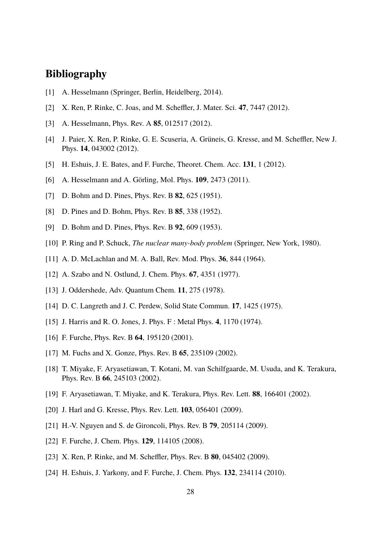# **Bibliography**

- [1] A. Hesselmann (Springer, Berlin, Heidelberg, 2014).
- [2] X. Ren, P. Rinke, C. Joas, and M. Scheffler, J. Mater. Sci. **47**, 7447 (2012).
- [3] A. Hesselmann, Phys. Rev. A **85**, 012517 (2012).
- [4] J. Paier, X. Ren, P. Rinke, G. E. Scuseria, A. Grüneis, G. Kresse, and M. Scheffler, New J. Phys. **14**, 043002 (2012).
- [5] H. Eshuis, J. E. Bates, and F. Furche, Theoret. Chem. Acc. **131**, 1 (2012).
- [6] A. Hesselmann and A. Görling, Mol. Phys. **109**, 2473 (2011).
- [7] D. Bohm and D. Pines, Phys. Rev. B **82**, 625 (1951).
- [8] D. Pines and D. Bohm, Phys. Rev. B **85**, 338 (1952).
- [9] D. Bohm and D. Pines, Phys. Rev. B **92**, 609 (1953).
- [10] P. Ring and P. Schuck, *The nuclear many-body problem* (Springer, New York, 1980).
- [11] A. D. McLachlan and M. A. Ball, Rev. Mod. Phys. **36**, 844 (1964).
- [12] A. Szabo and N. Ostlund, J. Chem. Phys. **67**, 4351 (1977).
- [13] J. Oddershede, Adv. Quantum Chem. **11**, 275 (1978).
- [14] D. C. Langreth and J. C. Perdew, Solid State Commun. **17**, 1425 (1975).
- [15] J. Harris and R. O. Jones, J. Phys. F : Metal Phys. **4**, 1170 (1974).
- [16] F. Furche, Phys. Rev. B **64**, 195120 (2001).
- [17] M. Fuchs and X. Gonze, Phys. Rev. B **65**, 235109 (2002).
- [18] T. Miyake, F. Aryasetiawan, T. Kotani, M. van Schilfgaarde, M. Usuda, and K. Terakura, Phys. Rev. B **66**, 245103 (2002).
- [19] F. Aryasetiawan, T. Miyake, and K. Terakura, Phys. Rev. Lett. **88**, 166401 (2002).
- [20] J. Harl and G. Kresse, Phys. Rev. Lett. **103**, 056401 (2009).
- [21] H.-V. Nguyen and S. de Gironcoli, Phys. Rev. B **79**, 205114 (2009).
- [22] F. Furche, J. Chem. Phys. **129**, 114105 (2008).
- [23] X. Ren, P. Rinke, and M. Scheffler, Phys. Rev. B **80**, 045402 (2009).
- [24] H. Eshuis, J. Yarkony, and F. Furche, J. Chem. Phys. **132**, 234114 (2010).